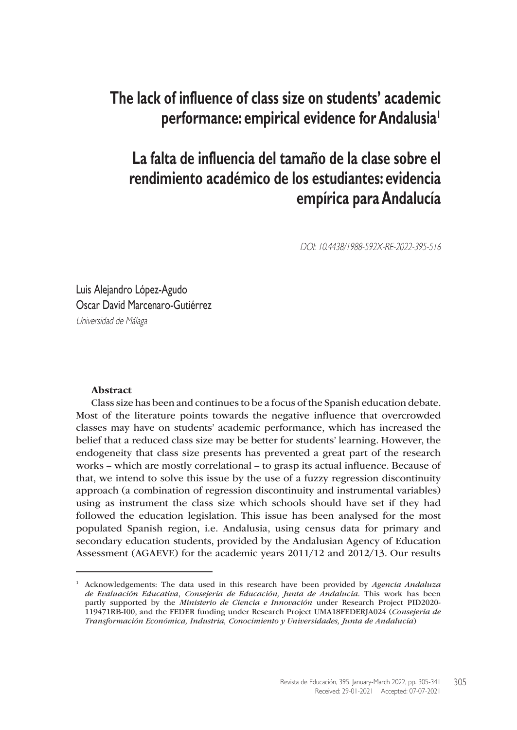# **The lack of influence of class size on students' academic performance: empirical evidence for Andalusia1**

# **La falta de influencia del tamaño de la clase sobre el rendimiento académico de los estudiantes: evidencia empírica para Andalucía**

DOI: 10.4438/1988-592X-RE-2022-395-516

Luis Alejandro López-Agudo Oscar David Marcenaro-Gutiérrez Universidad de Málaga

#### Abstract

Class size has been and continues to be a focus of the Spanish education debate. Most of the literature points towards the negative influence that overcrowded classes may have on students' academic performance, which has increased the belief that a reduced class size may be better for students' learning. However, the endogeneity that class size presents has prevented a great part of the research works – which are mostly correlational – to grasp its actual influence. Because of that, we intend to solve this issue by the use of a fuzzy regression discontinuity approach (a combination of regression discontinuity and instrumental variables) using as instrument the class size which schools should have set if they had followed the education legislation. This issue has been analysed for the most populated Spanish region, i.e. Andalusia, using census data for primary and secondary education students, provided by the Andalusian Agency of Education Assessment (AGAEVE) for the academic years 2011/12 and 2012/13. Our results

<sup>1</sup> Acknowledgements: The data used in this research have been provided by *Agencia Andaluza de Evaluación Educativa*, *Consejería de Educación, Junta de Andalucía*. This work has been partly supported by the *Ministerio de Ciencia e Innovación* under Research Project PID2020- 119471RB-I00, and the FEDER funding under Research Project UMA18FEDERJA024 (*Consejería de Transformación Económica, Industria, Conocimiento y Universidades, Junta de Andalucía*)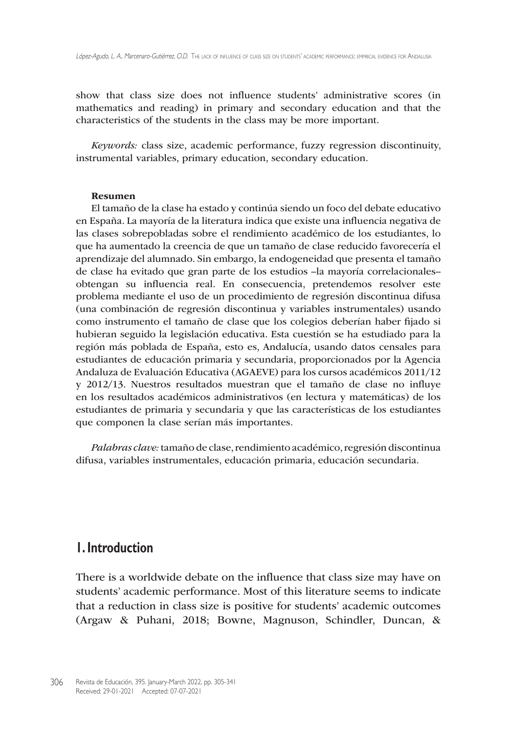show that class size does not influence students' administrative scores (in mathematics and reading) in primary and secondary education and that the characteristics of the students in the class may be more important.

*Keywords:* class size, academic performance, fuzzy regression discontinuity, instrumental variables, primary education, secondary education.

#### Resumen

El tamaño de la clase ha estado y continúa siendo un foco del debate educativo en España. La mayoría de la literatura indica que existe una influencia negativa de las clases sobrepobladas sobre el rendimiento académico de los estudiantes, lo que ha aumentado la creencia de que un tamaño de clase reducido favorecería el aprendizaje del alumnado. Sin embargo, la endogeneidad que presenta el tamaño de clase ha evitado que gran parte de los estudios –la mayoría correlacionales– obtengan su influencia real. En consecuencia, pretendemos resolver este problema mediante el uso de un procedimiento de regresión discontinua difusa (una combinación de regresión discontinua y variables instrumentales) usando como instrumento el tamaño de clase que los colegios deberían haber fijado si hubieran seguido la legislación educativa. Esta cuestión se ha estudiado para la región más poblada de España, esto es, Andalucía, usando datos censales para estudiantes de educación primaria y secundaria, proporcionados por la Agencia Andaluza de Evaluación Educativa (AGAEVE) para los cursos académicos 2011/12 y 2012/13. Nuestros resultados muestran que el tamaño de clase no influye en los resultados académicos administrativos (en lectura y matemáticas) de los estudiantes de primaria y secundaria y que las características de los estudiantes que componen la clase serían más importantes.

*Palabras clave:* tamaño de clase, rendimiento académico, regresión discontinua difusa, variables instrumentales, educación primaria, educación secundaria.

## **1. Introduction**

There is a worldwide debate on the influence that class size may have on students' academic performance. Most of this literature seems to indicate that a reduction in class size is positive for students' academic outcomes (Argaw & Puhani, 2018; Bowne, Magnuson, Schindler, Duncan, &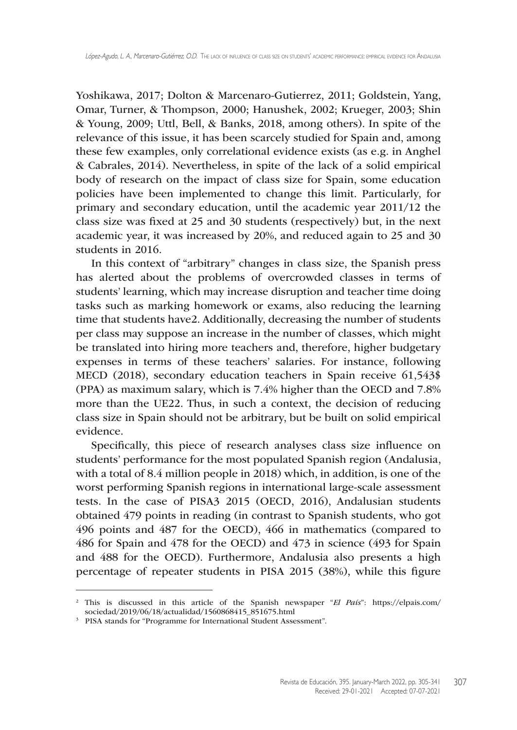Yoshikawa, 2017; Dolton & Marcenaro-Gutierrez, 2011; Goldstein, Yang, Omar, Turner, & Thompson, 2000; Hanushek, 2002; Krueger, 2003; Shin & Young, 2009; Uttl, Bell, & Banks, 2018, among others). In spite of the relevance of this issue, it has been scarcely studied for Spain and, among these few examples, only correlational evidence exists (as e.g. in Anghel & Cabrales, 2014). Nevertheless, in spite of the lack of a solid empirical body of research on the impact of class size for Spain, some education policies have been implemented to change this limit. Particularly, for primary and secondary education, until the academic year 2011/12 the class size was fixed at 25 and 30 students (respectively) but, in the next academic year, it was increased by 20%, and reduced again to 25 and 30 students in 2016.

In this context of "arbitrary" changes in class size, the Spanish press has alerted about the problems of overcrowded classes in terms of students' learning, which may increase disruption and teacher time doing tasks such as marking homework or exams, also reducing the learning time that students have2. Additionally, decreasing the number of students per class may suppose an increase in the number of classes, which might be translated into hiring more teachers and, therefore, higher budgetary expenses in terms of these teachers' salaries. For instance, following MECD (2018), secondary education teachers in Spain receive 61,543\$ (PPA) as maximum salary, which is 7.4% higher than the OECD and 7.8% more than the UE22. Thus, in such a context, the decision of reducing class size in Spain should not be arbitrary, but be built on solid empirical evidence.

Specifically, this piece of research analyses class size influence on students' performance for the most populated Spanish region (Andalusia, with a total of 8.4 million people in 2018) which, in addition, is one of the worst performing Spanish regions in international large-scale assessment tests. In the case of PISA3 2015 (OECD, 2016), Andalusian students obtained 479 points in reading (in contrast to Spanish students, who got 496 points and 487 for the OECD), 466 in mathematics (compared to 486 for Spain and 478 for the OECD) and 473 in science (493 for Spain and 488 for the OECD). Furthermore, Andalusia also presents a high percentage of repeater students in PISA 2015 (38%), while this figure

<sup>2</sup> This is discussed in this article of the Spanish newspaper "*El País*": [https://elpais.com/](https://elpais.com/sociedad/2019/06/18/actualidad/1560868415_851675.html) [sociedad/2019/06/18/actualidad/1560868415\\_851675.html](https://elpais.com/sociedad/2019/06/18/actualidad/1560868415_851675.html)

<sup>&</sup>lt;sup>3</sup> PISA stands for "Programme for International Student Assessment".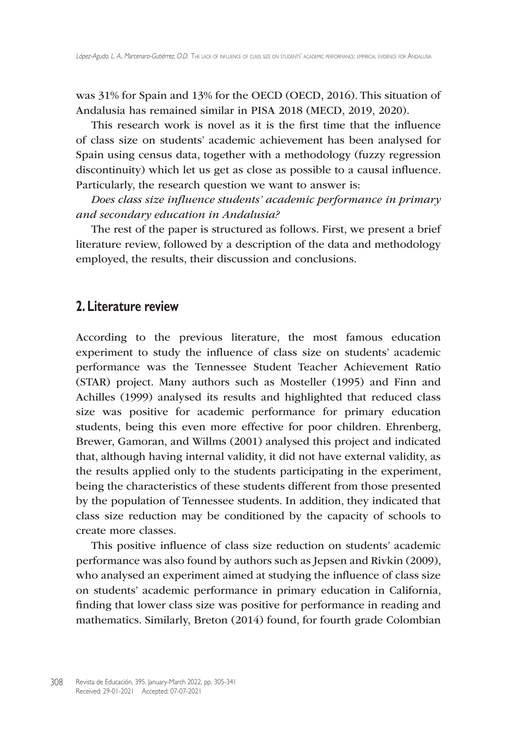was 31% for Spain and 13% for the OECD (OECD, 2016). This situation of Andalusia has remained similar in PISA 2018 (MECD, 2019, 2020).

This research work is novel as it is the first time that the influence of class size on students' academic achievement has been analysed for Spain using census data, together with a methodology (fuzzy regression discontinuity) which let us get as close as possible to a causal influence. Particularly, the research question we want to answer is:

*Does class size influence students' academic performance in primary and secondary education in Andalusia?*

The rest of the paper is structured as follows. First, we present a brief literature review, followed by a description of the data and methodology employed, the results, their discussion and conclusions.

## **2. Literature review**

According to the previous literature, the most famous education experiment to study the influence of class size on students' academic performance was the Tennessee Student Teacher Achievement Ratio (STAR) project. Many authors such as Mosteller (1995) and Finn and Achilles (1999) analysed its results and highlighted that reduced class size was positive for academic performance for primary education students, being this even more effective for poor children. Ehrenberg, Brewer, Gamoran, and Willms (2001) analysed this project and indicated that, although having internal validity, it did not have external validity, as the results applied only to the students participating in the experiment, being the characteristics of these students different from those presented by the population of Tennessee students. In addition, they indicated that class size reduction may be conditioned by the capacity of schools to create more classes.

This positive influence of class size reduction on students' academic performance was also found by authors such as Jepsen and Rivkin (2009), who analysed an experiment aimed at studying the influence of class size on students' academic performance in primary education in California, finding that lower class size was positive for performance in reading and mathematics. Similarly, Breton (2014) found, for fourth grade Colombian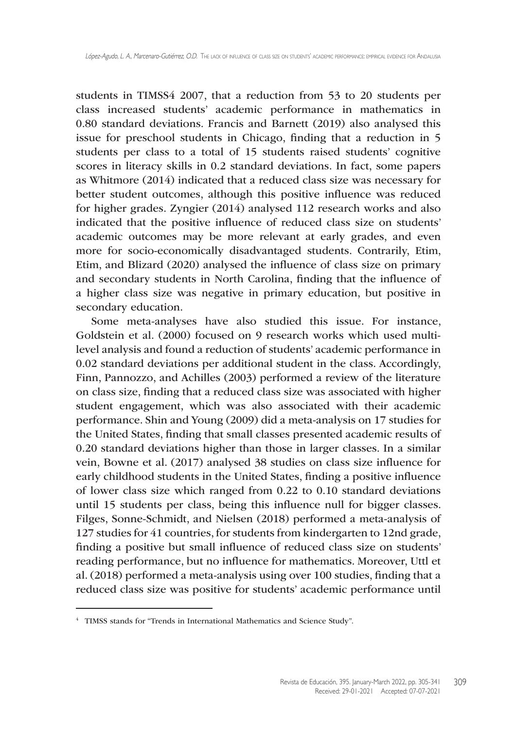students in TIMSS4 2007, that a reduction from 53 to 20 students per class increased students' academic performance in mathematics in 0.80 standard deviations. Francis and Barnett (2019) also analysed this issue for preschool students in Chicago, finding that a reduction in 5 students per class to a total of 15 students raised students' cognitive scores in literacy skills in 0.2 standard deviations. In fact, some papers as Whitmore (2014) indicated that a reduced class size was necessary for better student outcomes, although this positive influence was reduced for higher grades. Zyngier (2014) analysed 112 research works and also indicated that the positive influence of reduced class size on students' academic outcomes may be more relevant at early grades, and even more for socio-economically disadvantaged students. Contrarily, Etim, Etim, and Blizard (2020) analysed the influence of class size on primary and secondary students in North Carolina, finding that the influence of a higher class size was negative in primary education, but positive in secondary education.

Some meta-analyses have also studied this issue. For instance, Goldstein et al. (2000) focused on 9 research works which used multilevel analysis and found a reduction of students' academic performance in 0.02 standard deviations per additional student in the class. Accordingly, Finn, Pannozzo, and Achilles (2003) performed a review of the literature on class size, finding that a reduced class size was associated with higher student engagement, which was also associated with their academic performance. Shin and Young (2009) did a meta-analysis on 17 studies for the United States, finding that small classes presented academic results of 0.20 standard deviations higher than those in larger classes. In a similar vein, Bowne et al. (2017) analysed 38 studies on class size influence for early childhood students in the United States, finding a positive influence of lower class size which ranged from 0.22 to 0.10 standard deviations until 15 students per class, being this influence null for bigger classes. Filges, Sonne-Schmidt, and Nielsen (2018) performed a meta-analysis of 127 studies for 41 countries, for students from kindergarten to 12nd grade, finding a positive but small influence of reduced class size on students' reading performance, but no influence for mathematics. Moreover, Uttl et al. (2018) performed a meta-analysis using over 100 studies, finding that a reduced class size was positive for students' academic performance until

<sup>4</sup> TIMSS stands for "Trends in International Mathematics and Science Study".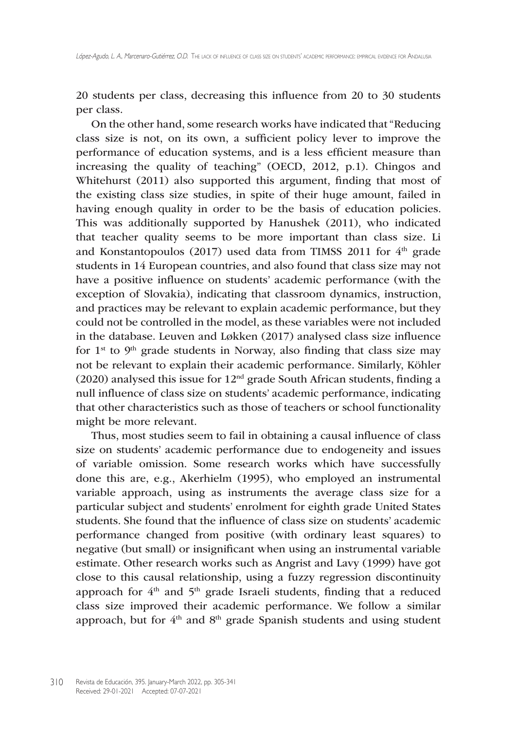20 students per class, decreasing this influence from 20 to 30 students per class.

On the other hand, some research works have indicated that "Reducing class size is not, on its own, a sufficient policy lever to improve the performance of education systems, and is a less efficient measure than increasing the quality of teaching" (OECD, 2012, p.1). Chingos and Whitehurst (2011) also supported this argument, finding that most of the existing class size studies, in spite of their huge amount, failed in having enough quality in order to be the basis of education policies. This was additionally supported by Hanushek (2011), who indicated that teacher quality seems to be more important than class size. Li and Konstantopoulos (2017) used data from TIMSS 2011 for  $4<sup>th</sup>$  grade students in 14 European countries, and also found that class size may not have a positive influence on students' academic performance (with the exception of Slovakia), indicating that classroom dynamics, instruction, and practices may be relevant to explain academic performance, but they could not be controlled in the model, as these variables were not included in the database. Leuven and Løkken (2017) analysed class size influence for  $1<sup>st</sup>$  to  $9<sup>th</sup>$  grade students in Norway, also finding that class size may not be relevant to explain their academic performance. Similarly, Köhler (2020) analysed this issue for  $12<sup>nd</sup>$  grade South African students, finding a null influence of class size on students' academic performance, indicating that other characteristics such as those of teachers or school functionality might be more relevant.

Thus, most studies seem to fail in obtaining a causal influence of class size on students' academic performance due to endogeneity and issues of variable omission. Some research works which have successfully done this are, e.g., Akerhielm (1995), who employed an instrumental variable approach, using as instruments the average class size for a particular subject and students' enrolment for eighth grade United States students. She found that the influence of class size on students' academic performance changed from positive (with ordinary least squares) to negative (but small) or insignificant when using an instrumental variable estimate. Other research works such as Angrist and Lavy (1999) have got close to this causal relationship, using a fuzzy regression discontinuity approach for  $4<sup>th</sup>$  and  $5<sup>th</sup>$  grade Israeli students, finding that a reduced class size improved their academic performance. We follow a similar approach, but for 4<sup>th</sup> and 8<sup>th</sup> grade Spanish students and using student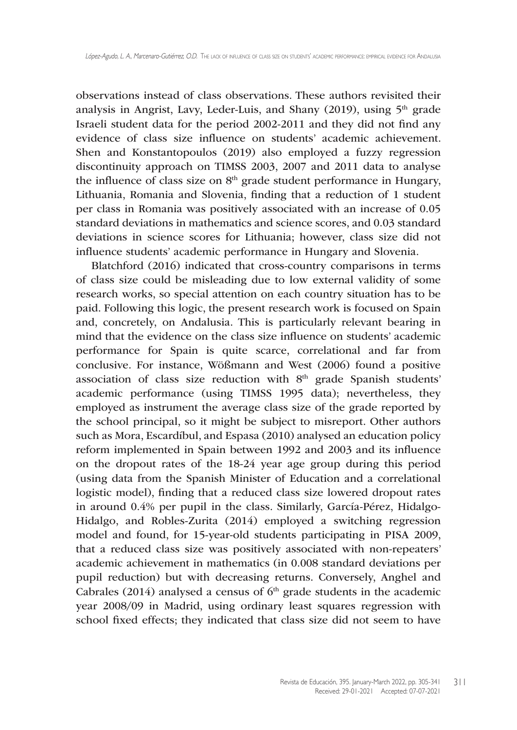observations instead of class observations. These authors revisited their analysis in Angrist, Lavy, Leder-Luis, and Shany  $(2019)$ , using  $5<sup>th</sup>$  grade Israeli student data for the period 2002-2011 and they did not find any evidence of class size influence on students' academic achievement. Shen and Konstantopoulos (2019) also employed a fuzzy regression discontinuity approach on TIMSS 2003, 2007 and 2011 data to analyse the influence of class size on  $8<sup>th</sup>$  grade student performance in Hungary, Lithuania, Romania and Slovenia, finding that a reduction of 1 student per class in Romania was positively associated with an increase of 0.05 standard deviations in mathematics and science scores, and 0.03 standard deviations in science scores for Lithuania; however, class size did not influence students' academic performance in Hungary and Slovenia.

Blatchford (2016) indicated that cross-country comparisons in terms of class size could be misleading due to low external validity of some research works, so special attention on each country situation has to be paid. Following this logic, the present research work is focused on Spain and, concretely, on Andalusia. This is particularly relevant bearing in mind that the evidence on the class size influence on students' academic performance for Spain is quite scarce, correlational and far from conclusive. For instance, Wößmann and West (2006) found a positive association of class size reduction with 8<sup>th</sup> grade Spanish students' academic performance (using TIMSS 1995 data); nevertheless, they employed as instrument the average class size of the grade reported by the school principal, so it might be subject to misreport. Other authors such as Mora, Escardíbul, and Espasa (2010) analysed an education policy reform implemented in Spain between 1992 and 2003 and its influence on the dropout rates of the 18-24 year age group during this period (using data from the Spanish Minister of Education and a correlational logistic model), finding that a reduced class size lowered dropout rates in around 0.4% per pupil in the class. Similarly, García-Pérez, Hidalgo-Hidalgo, and Robles-Zurita (2014) employed a switching regression model and found, for 15-year-old students participating in PISA 2009, that a reduced class size was positively associated with non-repeaters' academic achievement in mathematics (in 0.008 standard deviations per pupil reduction) but with decreasing returns. Conversely, Anghel and Cabrales (2014) analysed a census of  $6<sup>th</sup>$  grade students in the academic year 2008/09 in Madrid, using ordinary least squares regression with school fixed effects; they indicated that class size did not seem to have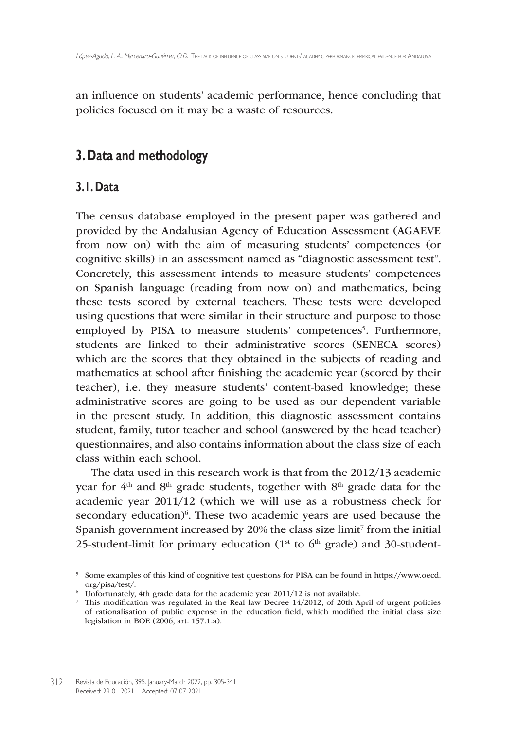an influence on students' academic performance, hence concluding that policies focused on it may be a waste of resources.

## **3. Data and methodology**

## **3.1. Data**

The census database employed in the present paper was gathered and provided by the Andalusian Agency of Education Assessment (AGAEVE from now on) with the aim of measuring students' competences (or cognitive skills) in an assessment named as "diagnostic assessment test". Concretely, this assessment intends to measure students' competences on Spanish language (reading from now on) and mathematics, being these tests scored by external teachers. These tests were developed using questions that were similar in their structure and purpose to those employed by PISA to measure students' competences<sup>5</sup>. Furthermore, students are linked to their administrative scores (SENECA scores) which are the scores that they obtained in the subjects of reading and mathematics at school after finishing the academic year (scored by their teacher), i.e. they measure students' content-based knowledge; these administrative scores are going to be used as our dependent variable in the present study. In addition, this diagnostic assessment contains student, family, tutor teacher and school (answered by the head teacher) questionnaires, and also contains information about the class size of each class within each school.

The data used in this research work is that from the 2012/13 academic year for  $4<sup>th</sup>$  and  $8<sup>th</sup>$  grade students, together with  $8<sup>th</sup>$  grade data for the academic year 2011/12 (which we will use as a robustness check for secondary education)<sup>6</sup>. These two academic years are used because the Spanish government increased by 20% the class size limit<sup>7</sup> from the initial 25-student-limit for primary education ( $1<sup>st</sup>$  to  $6<sup>th</sup>$  grade) and 30-student-

<sup>5</sup> Some examples of this kind of cognitive test questions for PISA can be found in [https://www.oecd.](https://www.oecd.org/pisa/test) [org/pisa/test/](https://www.oecd.org/pisa/test).

 $6\degree$  Unfortunately, 4th grade data for the academic year 2011/12 is not available.

<sup>7</sup> This modification was regulated in the Real law Decree 14/2012, of 20th April of urgent policies of rationalisation of public expense in the education field, which modified the initial class size legislation in BOE (2006, art. 157.1.a).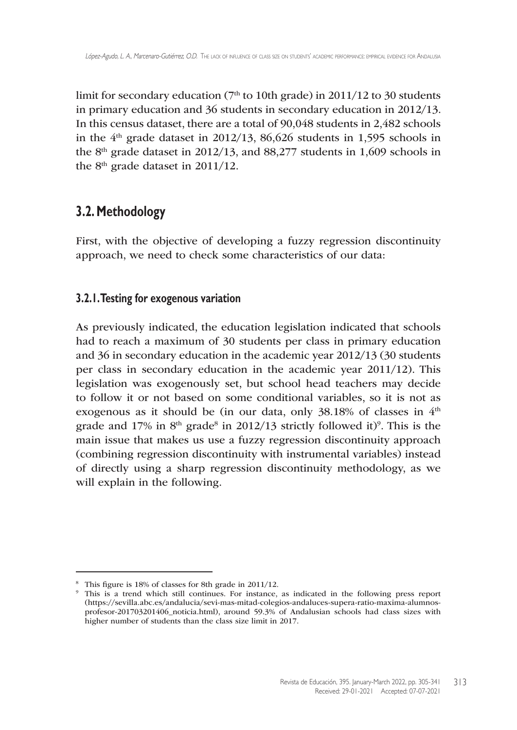limit for secondary education ( $7<sup>th</sup>$  to 10th grade) in 2011/12 to 30 students in primary education and 36 students in secondary education in 2012/13. In this census dataset, there are a total of 90,048 students in 2,482 schools in the  $4<sup>th</sup>$  grade dataset in 2012/13, 86,626 students in 1,595 schools in the 8<sup>th</sup> grade dataset in 2012/13, and 88,277 students in 1,609 schools in the  $8<sup>th</sup>$  grade dataset in 2011/12.

## **3.2. Methodology**

First, with the objective of developing a fuzzy regression discontinuity approach, we need to check some characteristics of our data:

## **3.2.1. Testing for exogenous variation**

As previously indicated, the education legislation indicated that schools had to reach a maximum of 30 students per class in primary education and 36 in secondary education in the academic year 2012/13 (30 students per class in secondary education in the academic year 2011/12). This legislation was exogenously set, but school head teachers may decide to follow it or not based on some conditional variables, so it is not as exogenous as it should be (in our data, only 38.18% of classes in 4<sup>th</sup> grade and 17% in  $8<sup>th</sup>$  grade<sup>8</sup> in 2012/13 strictly followed it)<sup>9</sup>. This is the main issue that makes us use a fuzzy regression discontinuity approach (combining regression discontinuity with instrumental variables) instead of directly using a sharp regression discontinuity methodology, as we will explain in the following.

<sup>8</sup> This figure is 18% of classes for 8th grade in 2011/12.

<sup>9</sup> This is a trend which still continues. For instance, as indicated in the following press report ([https://sevilla.abc.es/andalucia/sevi-mas-mitad-colegios-andaluces-supera-ratio-maxima-alumnos](https://sevilla.abc.es/andalucia/sevi-mas-mitad-colegios-andaluces-supera-ratio-maxima-alumnos-profesor-201703201406_noticia.html)[profesor-201703201406\\_noticia.html\)](https://sevilla.abc.es/andalucia/sevi-mas-mitad-colegios-andaluces-supera-ratio-maxima-alumnos-profesor-201703201406_noticia.html), around 59.3% of Andalusian schools had class sizes with higher number of students than the class size limit in 2017.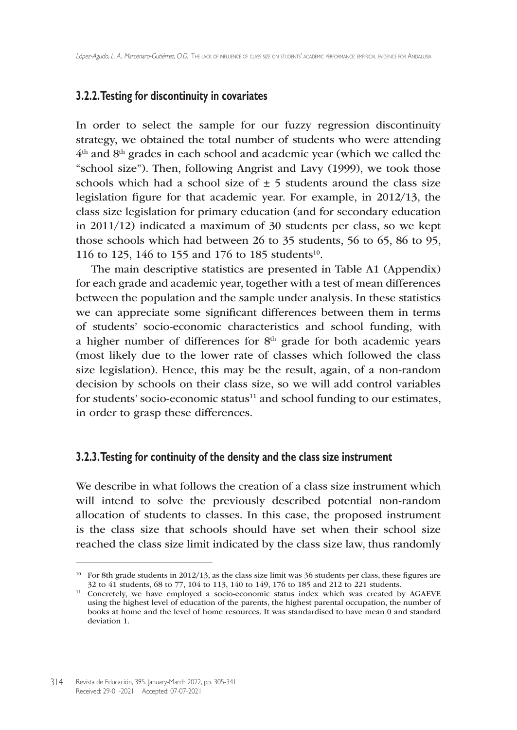### **3.2.2. Testing for discontinuity in covariates**

In order to select the sample for our fuzzy regression discontinuity strategy, we obtained the total number of students who were attending 4th and 8th grades in each school and academic year (which we called the "school size"). Then, following Angrist and Lavy (1999), we took those schools which had a school size of  $\pm$  5 students around the class size legislation figure for that academic year. For example, in 2012/13, the class size legislation for primary education (and for secondary education in 2011/12) indicated a maximum of 30 students per class, so we kept those schools which had between 26 to 35 students, 56 to 65, 86 to 95, 116 to 125, 146 to 155 and 176 to 185 students<sup>10</sup>.

The main descriptive statistics are presented in Table A1 (Appendix) for each grade and academic year, together with a test of mean differences between the population and the sample under analysis. In these statistics we can appreciate some significant differences between them in terms of students' socio-economic characteristics and school funding, with a higher number of differences for  $8<sup>th</sup>$  grade for both academic years (most likely due to the lower rate of classes which followed the class size legislation). Hence, this may be the result, again, of a non-random decision by schools on their class size, so we will add control variables for students' socio-economic status $11$  and school funding to our estimates, in order to grasp these differences.

#### **3.2.3. Testing for continuity of the density and the class size instrument**

We describe in what follows the creation of a class size instrument which will intend to solve the previously described potential non-random allocation of students to classes. In this case, the proposed instrument is the class size that schools should have set when their school size reached the class size limit indicated by the class size law, thus randomly

<sup>&</sup>lt;sup>10</sup> For 8th grade students in 2012/13, as the class size limit was 36 students per class, these figures are 32 to 41 students, 68 to 77, 104 to 113, 140 to 149, 176 to 185 and 212 to 221 students.

<sup>&</sup>lt;sup>11</sup> Concretely, we have employed a socio-economic status index which was created by AGAEVE using the highest level of education of the parents, the highest parental occupation, the number of books at home and the level of home resources. It was standardised to have mean 0 and standard deviation 1.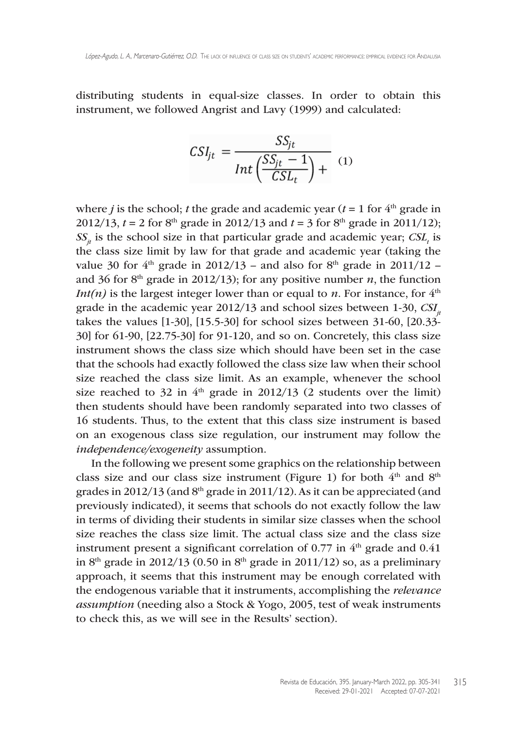distributing students in equal-size classes. In order to obtain this instrument, we followed Angrist and Lavy (1999) and calculated:

$$
CSI_{jt} = \frac{SS_{jt}}{Int\left(\frac{SS_{jt}}{CSL_t} - 1\right)} \tag{1}
$$

where *j* is the school; *t* the grade and academic year ( $t = 1$  for  $4<sup>th</sup>$  grade in 2012/13,  $t = 2$  for 8<sup>th</sup> grade in 2012/13 and  $t = 3$  for 8<sup>th</sup> grade in 2011/12);  $SS_{jt}$  is the school size in that particular grade and academic year;  $CSL_t$  is the class size limit by law for that grade and academic year (taking the value 30 for  $4<sup>th</sup>$  grade in 2012/13 – and also for  $8<sup>th</sup>$  grade in 2011/12 – and 36 for  $8<sup>th</sup>$  grade in 2012/13); for any positive number *n*, the function *Int(n)* is the largest integer lower than or equal to *n*. For instance, for  $4<sup>th</sup>$ grade in the academic year 2012/13 and school sizes between 1-30, *CSI*<sub>*x*</sub> takes the values [1-30], [15.5-30] for school sizes between 31-60, [20.33- 30] for 61-90, [22.75-30] for 91-120, and so on. Concretely, this class size instrument shows the class size which should have been set in the case that the schools had exactly followed the class size law when their school size reached the class size limit. As an example, whenever the school size reached to 32 in  $4<sup>th</sup>$  grade in 2012/13 (2 students over the limit) then students should have been randomly separated into two classes of 16 students. Thus, to the extent that this class size instrument is based on an exogenous class size regulation, our instrument may follow the *independence/exogeneity* assumption.

In the following we present some graphics on the relationship between class size and our class size instrument (Figure 1) for both  $4<sup>th</sup>$  and  $8<sup>th</sup>$ grades in 2012/13 (and  $8<sup>th</sup>$  grade in 2011/12). As it can be appreciated (and previously indicated), it seems that schools do not exactly follow the law in terms of dividing their students in similar size classes when the school size reaches the class size limit. The actual class size and the class size instrument present a significant correlation of  $0.77$  in  $4<sup>th</sup>$  grade and  $0.41$ in  $8<sup>th</sup>$  grade in 2012/13 (0.50 in  $8<sup>th</sup>$  grade in 2011/12) so, as a preliminary approach, it seems that this instrument may be enough correlated with the endogenous variable that it instruments, accomplishing the *relevance assumption* (needing also a Stock & Yogo, 2005, test of weak instruments to check this, as we will see in the Results' section).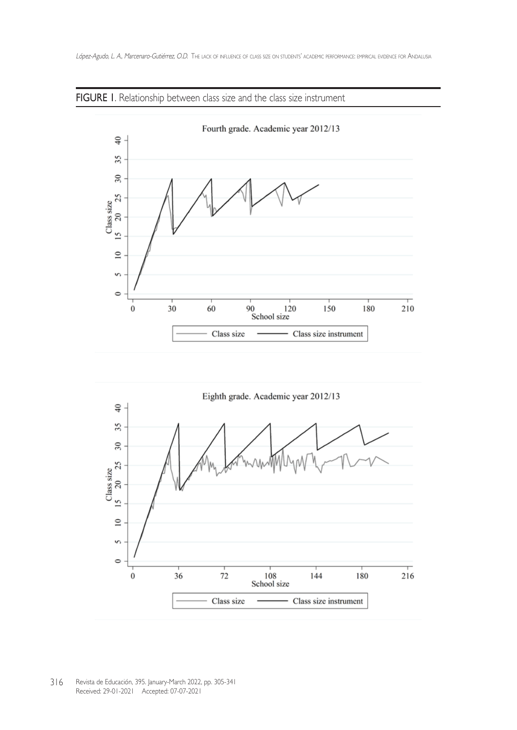

### FIGURE 1. Relationship between class size and the class size instrument



316 Revista de Educación, 395. January-March 2022, pp. 305-341 Received: 29-01-2021 Accepted: 07-07-2021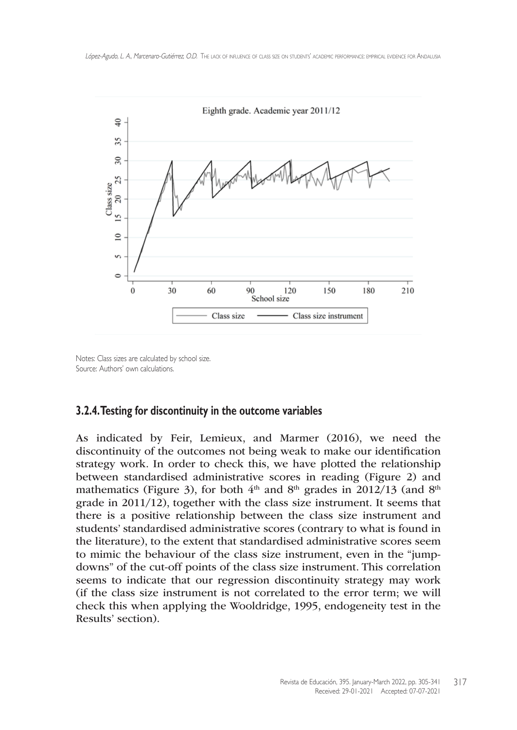

Notes: Class sizes are calculated by school size. Source: Authors' own calculations.

#### **3.2.4. Testing for discontinuity in the outcome variables**

As indicated by Feir, Lemieux, and Marmer (2016), we need the discontinuity of the outcomes not being weak to make our identification strategy work. In order to check this, we have plotted the relationship between standardised administrative scores in reading (Figure 2) and mathematics (Figure 3), for both  $4<sup>th</sup>$  and  $8<sup>th</sup>$  grades in 2012/13 (and  $8<sup>th</sup>$ grade in 2011/12), together with the class size instrument. It seems that there is a positive relationship between the class size instrument and students' standardised administrative scores (contrary to what is found in the literature), to the extent that standardised administrative scores seem to mimic the behaviour of the class size instrument, even in the "jumpdowns" of the cut-off points of the class size instrument. This correlation seems to indicate that our regression discontinuity strategy may work (if the class size instrument is not correlated to the error term; we will check this when applying the Wooldridge, 1995, endogeneity test in the Results' section).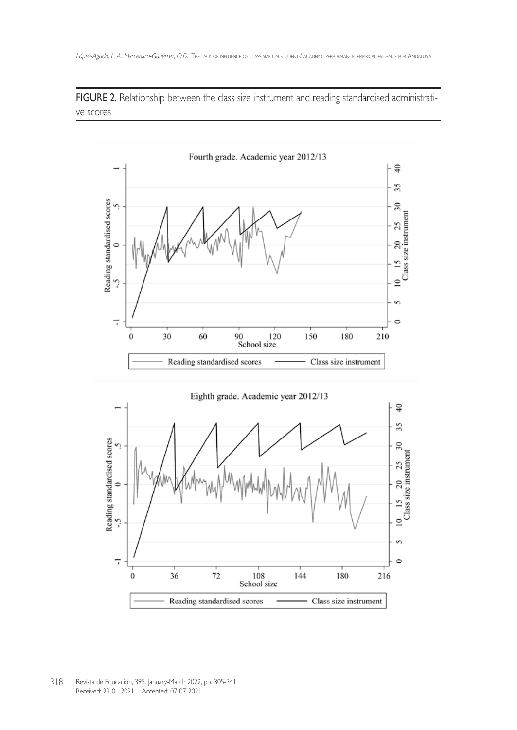FIGURE 2. Relationship between the class size instrument and reading standardised administrative scores



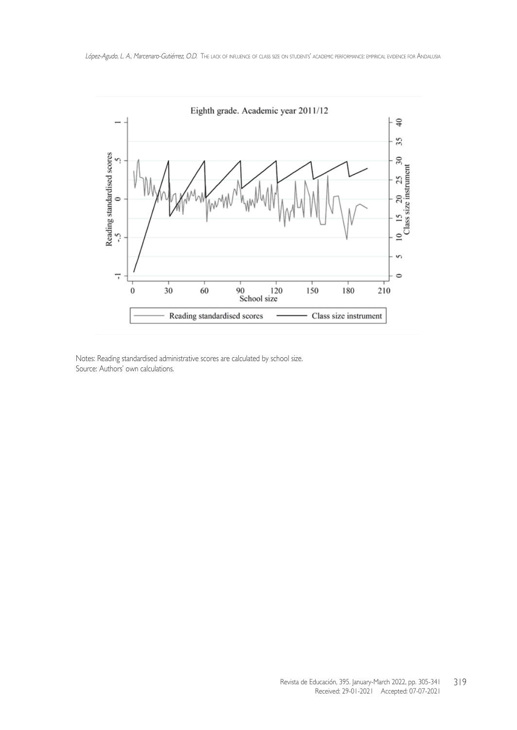

Notes: Reading standardised administrative scores are calculated by school size. Source: Authors' own calculations.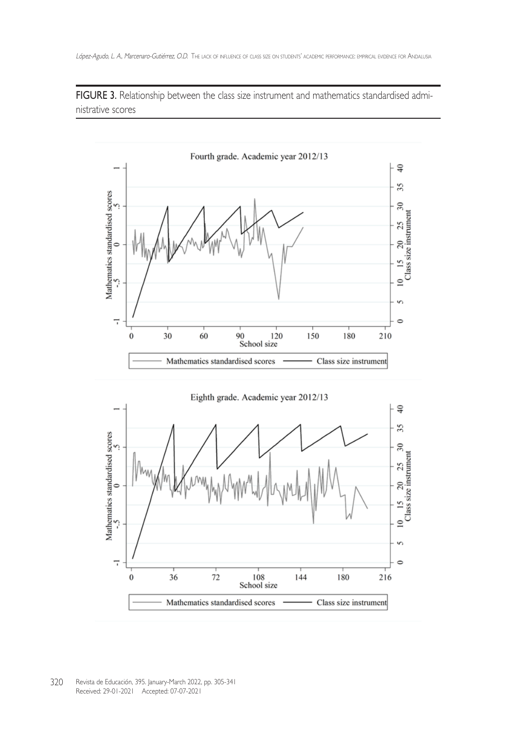FIGURE 3. Relationship between the class size instrument and mathematics standardised administrative scores



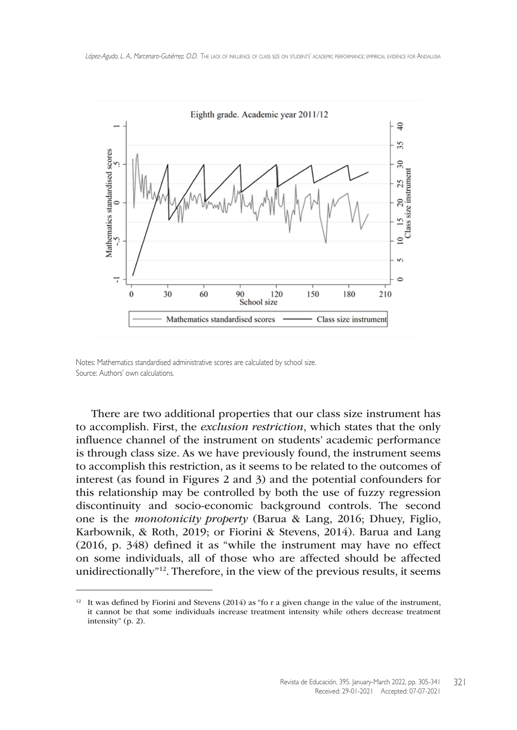

Notes: Mathematics standardised administrative scores are calculated by school size. Source: Authors' own calculations.

There are two additional properties that our class size instrument has to accomplish. First, the *exclusion restriction*, which states that the only influence channel of the instrument on students' academic performance is through class size. As we have previously found, the instrument seems to accomplish this restriction, as it seems to be related to the outcomes of interest (as found in Figures 2 and 3) and the potential confounders for this relationship may be controlled by both the use of fuzzy regression discontinuity and socio-economic background controls. The second one is the *monotonicity property* (Barua & Lang, 2016; Dhuey, Figlio, Karbownik, & Roth, 2019; or Fiorini & Stevens, 2014). Barua and Lang (2016, p. 348) defined it as "while the instrument may have no effect on some individuals, all of those who are affected should be affected unidirectionally"12. Therefore, in the view of the previous results, it seems

 $12$  It was defined by Fiorini and Stevens (2014) as "fo r a given change in the value of the instrument, it cannot be that some individuals increase treatment intensity while others decrease treatment intensity" (p. 2).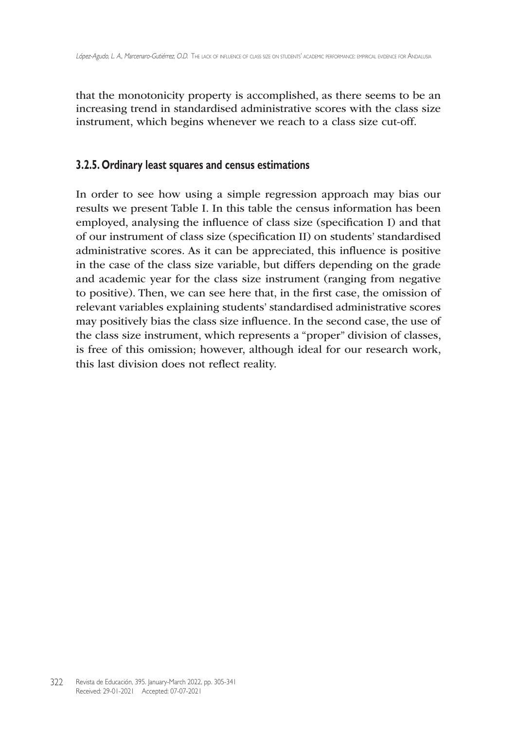that the monotonicity property is accomplished, as there seems to be an increasing trend in standardised administrative scores with the class size instrument, which begins whenever we reach to a class size cut-off.

### **3.2.5. Ordinary least squares and census estimations**

In order to see how using a simple regression approach may bias our results we present Table I. In this table the census information has been employed, analysing the influence of class size (specification I) and that of our instrument of class size (specification II) on students' standardised administrative scores. As it can be appreciated, this influence is positive in the case of the class size variable, but differs depending on the grade and academic year for the class size instrument (ranging from negative to positive). Then, we can see here that, in the first case, the omission of relevant variables explaining students' standardised administrative scores may positively bias the class size influence. In the second case, the use of the class size instrument, which represents a "proper" division of classes, is free of this omission; however, although ideal for our research work, this last division does not reflect reality.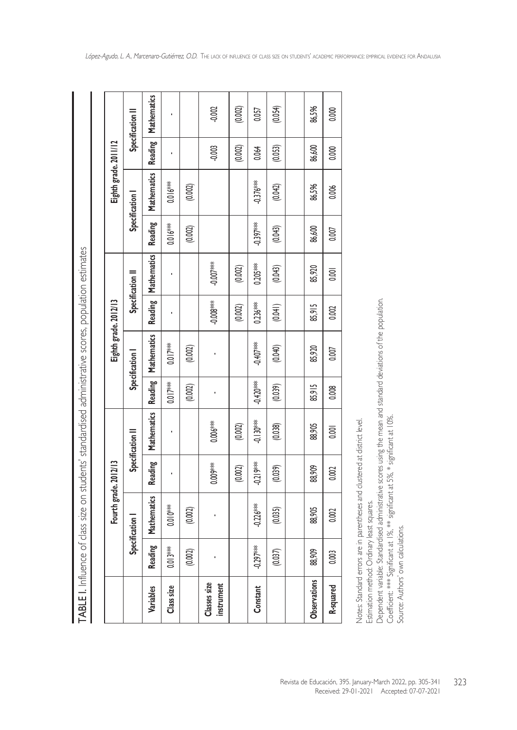| i<br>:                           |
|----------------------------------|
|                                  |
| יו וח רבחות המוווחי<br>j         |
| . 5 3 7                          |
| i<br>$\frac{1}{2}$<br>さくらく こうしょう |
| $\frac{1}{4}$                    |
| こてこも とく りこ ここてもく                 |
|                                  |
| $-1.1$                           |
| .<br>י<br>י<br>;<br>Ì<br>1       |

|                                   |             | Fourth grade. 2012/13 |                |                  |             | Eighth grade. 2012/13 |          |                    |             | Eighth grade. 2011/12 |          |               |
|-----------------------------------|-------------|-----------------------|----------------|------------------|-------------|-----------------------|----------|--------------------|-------------|-----------------------|----------|---------------|
|                                   |             | Specification         |                | Specification II |             | Specification         |          | Specification II   |             | Specification         |          | Specification |
| Variables                         | Reading     | Mathematics           | <b>Reading</b> | Mathematics      | Reading     | Mathematics           | Reading  | <b>Mathematics</b> | Reading     | Mathematics           | Reading  | Mathematics   |
| Class size                        | $0.013***$  | $0.010^{***}$         |                |                  | $0.017***$  | $0.017***$            |          |                    | $0.016**$   | $0.016***$            |          |               |
|                                   | (0.002)     | (0.002)               |                |                  | (0.002)     | (0.002)               |          |                    | (0.002)     | (0.002)               |          |               |
| <b>Classes size</b><br>instrument |             |                       | 0.000%         | 0.006 ***        |             |                       | **8000;  | -0.000"            |             |                       | $-0.003$ | $-0.002$      |
|                                   |             |                       | (0.002)        | (0.002)          |             |                       | (0.002)  | (0.002)            |             |                       | (0.002)  | (0.002)       |
| Constant                          | $-0.297***$ | $-0.226***$           | $-0.219***$    | ** 0.130f        | $-0.420$ ** | ***/99.9              | 0.236*** | $0.205***$         | $-0.397***$ | $-0.376***$           | 0.064    | 0.057         |
|                                   | (0.037)     | (0.035)               | (0.039)        | (0.038)          | (0.039)     | (0.040)               | (0.041)  | (0.043)            | (0.043)     | (0.042)               | (0.053)  | (0.054)       |
|                                   |             |                       |                |                  |             |                       |          |                    |             |                       |          |               |
| Observations                      | 88,909      | 88,905                | 88,909         | 88,905           | 85,915      | 85,920                | 85,915   | 85,920             | 86,600      | 86,596                | 86,600   | 86,596        |
| R-squared                         | 0.003       | 0.002                 | 0.002          | 0.001            | 0.008       | 0.007                 | 0.002    | $\overline{0}$     | 0.007       | 0.006                 | 0.000    | 0.000         |
|                                   |             |                       |                |                  |             |                       |          |                    |             |                       |          |               |

Notes: Standard errors are in parentheses and clustered at district level. Notes: Standard errors are in parentheses and clustered at district level.

Estimation method: Ordinary least squares. Estimation method: Ordinary least squares.

Received: 29-01-2021 Accepted: 07-07-2021

Dependent variable: Standardised administrative scores using the mean and standard deviations of the population. Dependent variable: Standardised administrative scores using the mean and standard deviations of the population.

Coefficient: \*\*\*\* Significant at 1%, \*\* significant at 5%, \* significant at 10%.<br>Coefficient: \*\*\*\* Significant at 1%, \*\* significant at 5%, \* significant at 10%.<br>Source: Authors' own calculations. Coefficient: \*\*\* Significant at 1%, \*\* significant at 5%, \* significant at 10%.

Source: Authors' own calculations.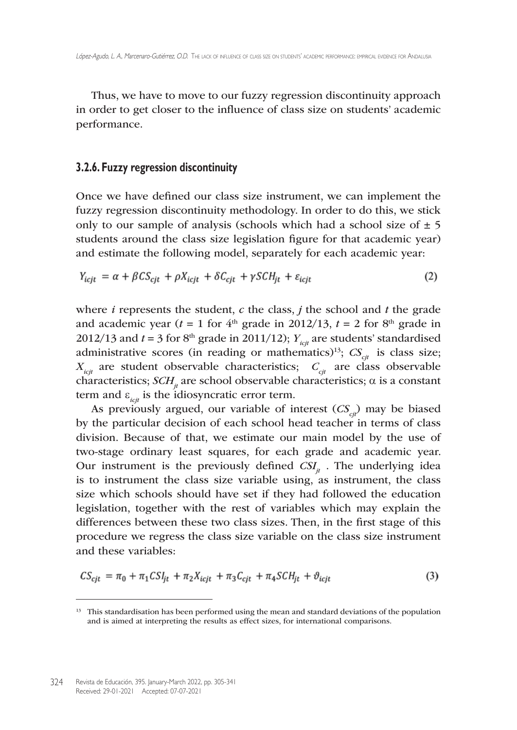Thus, we have to move to our fuzzy regression discontinuity approach in order to get closer to the influence of class size on students' academic performance.

#### **3.2.6. Fuzzy regression discontinuity**

Once we have defined our class size instrument, we can implement the fuzzy regression discontinuity methodology. In order to do this, we stick only to our sample of analysis (schools which had a school size of  $\pm$  5 students around the class size legislation figure for that academic year) and estimate the following model, separately for each academic year:

$$
Y_{icjt} = \alpha + \beta C S_{cjt} + \rho X_{icjt} + \delta C_{cjt} + \gamma S C H_{it} + \varepsilon_{icjt}
$$
\n
$$
\tag{2}
$$

where *i* represents the student, *c* the class, *j* the school and *t* the grade and academic year ( $t = 1$  for  $4<sup>th</sup>$  grade in 2012/13,  $t = 2$  for  $8<sup>th</sup>$  grade in 2012/13 and  $t = 3$  for 8<sup>th</sup> grade in 2011/12);  $Y_{ict}$  are students' standardised administrative scores (in reading or mathematics)<sup>13</sup>;  $CS_{ct}$  is class size;  $X_{\text{ict}}$  are student observable characteristics;  $C_{\text{ct}}$  are class observable characteristics;  $SCH_{u}$  are school observable characteristics;  $\alpha$  is a constant term and  $\varepsilon_{ict}$  is the idiosyncratic error term.

As previously argued, our variable of interest  $(CS_{\zeta})$  may be biased by the particular decision of each school head teacher in terms of class division. Because of that, we estimate our main model by the use of two-stage ordinary least squares, for each grade and academic year. Our instrument is the previously defined  $CSI_{ij}$ . The underlying idea is to instrument the class size variable using, as instrument, the class size which schools should have set if they had followed the education legislation, together with the rest of variables which may explain the differences between these two class sizes. Then, in the first stage of this procedure we regress the class size variable on the class size instrument and these variables:

$$
CS_{cjt} = \pi_0 + \pi_1 CSl_{jt} + \pi_2 X_{icjt} + \pi_3 C_{cjt} + \pi_4 SCl_{jt} + \vartheta_{icjt}
$$
\n(3)

<sup>&</sup>lt;sup>13</sup> This standardisation has been performed using the mean and standard deviations of the population and is aimed at interpreting the results as effect sizes, for international comparisons.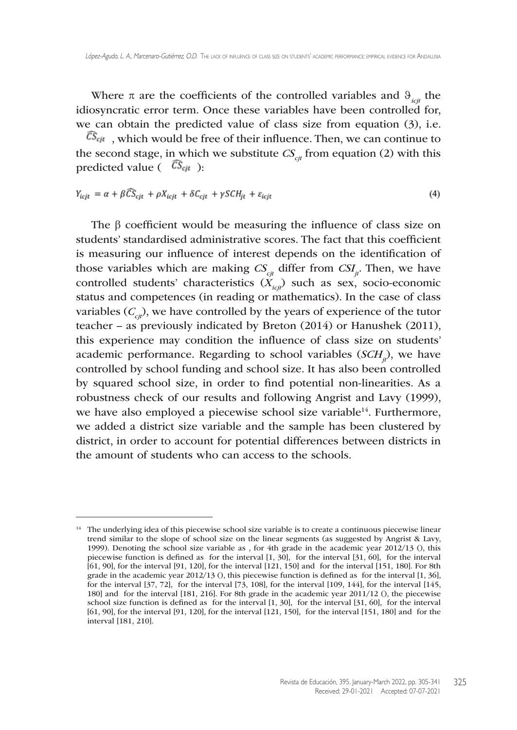Where  $\pi$  are the coefficients of the controlled variables and  $\vartheta_{ict}$  the idiosyncratic error term. Once these variables have been controlled for, we can obtain the predicted value of class size from equation (3), i.e.

 $\widehat{CS}_{cjt}$ , which would be free of their influence. Then, we can continue to the second stage, in which we substitute  $CS_{\text{ch}}$  from equation (2) with this predicted value ( $\widehat{CS}_{cjt}$ ):

$$
Y_{icjt} = \alpha + \beta \widehat{CS}_{cjt} + \rho X_{icjt} + \delta C_{cjt} + \gamma \mathcal{S}CH_{jt} + \varepsilon_{icjt}
$$
\n
$$
\tag{4}
$$

The β coefficient would be measuring the influence of class size on students' standardised administrative scores. The fact that this coefficient is measuring our influence of interest depends on the identification of those variables which are making  $CS_{ct}$  differ from  $CSI_{it}$ . Then, we have controlled students' characteristics  $(X_{i,j})$  such as sex, socio-economic status and competences (in reading or mathematics). In the case of class variables  $(C_{ci})$ , we have controlled by the years of experience of the tutor teacher – as previously indicated by Breton (2014) or Hanushek (2011), this experience may condition the influence of class size on students' academic performance. Regarding to school variables (*SCH<sub>ii</sub>*), we have controlled by school funding and school size. It has also been controlled by squared school size, in order to find potential non-linearities. As a robustness check of our results and following Angrist and Lavy (1999), we have also employed a piecewise school size variable<sup>14</sup>. Furthermore, we added a district size variable and the sample has been clustered by district, in order to account for potential differences between districts in the amount of students who can access to the schools.

<sup>&</sup>lt;sup>14</sup> The underlying idea of this piecewise school size variable is to create a continuous piecewise linear trend similar to the slope of school size on the linear segments (as suggested by Angrist & Lavy, 1999). Denoting the school size variable as , for 4th grade in the academic year 2012/13 (), this piecewise function is defined as for the interval [1, 30], for the interval [31, 60], for the interval [61, 90], for the interval [91, 120], for the interval [121, 150] and for the interval [151, 180]. For 8th grade in the academic year 2012/13 (), this piecewise function is defined as for the interval [1, 36], for the interval  $[37, 72]$ , for the interval  $[73, 108]$ , for the interval  $[109, 144]$ , for the interval  $[145]$ , 180] and for the interval [181, 216]. For 8th grade in the academic year 2011/12 (), the piecewise school size function is defined as for the interval [1, 30], for the interval [31, 60], for the interval [61, 90], for the interval [91, 120], for the interval [121, 150], for the interval [151, 180] and for the interval [181, 210].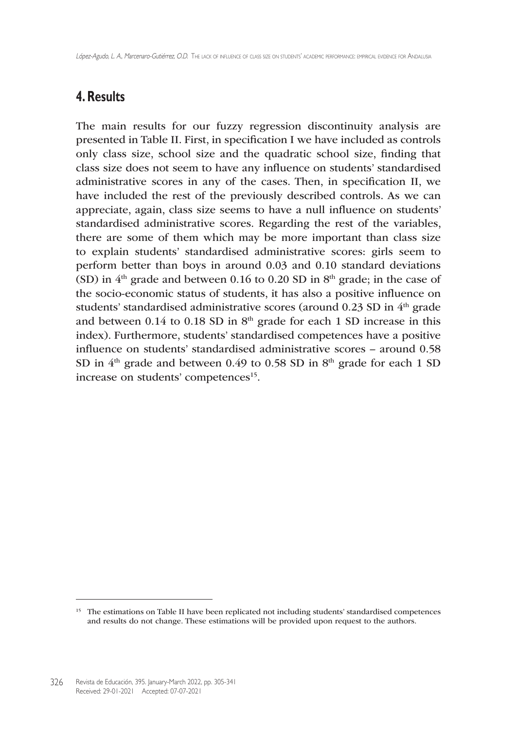## **4. Results**

The main results for our fuzzy regression discontinuity analysis are presented in Table II. First, in specification I we have included as controls only class size, school size and the quadratic school size, finding that class size does not seem to have any influence on students' standardised administrative scores in any of the cases. Then, in specification II, we have included the rest of the previously described controls. As we can appreciate, again, class size seems to have a null influence on students' standardised administrative scores. Regarding the rest of the variables, there are some of them which may be more important than class size to explain students' standardised administrative scores: girls seem to perform better than boys in around 0.03 and 0.10 standard deviations (SD) in  $4<sup>th</sup>$  grade and between 0.16 to 0.20 SD in  $8<sup>th</sup>$  grade; in the case of the socio-economic status of students, it has also a positive influence on students' standardised administrative scores (around 0.23 SD in 4<sup>th</sup> grade and between 0.14 to 0.18 SD in  $8<sup>th</sup>$  grade for each 1 SD increase in this index). Furthermore, students' standardised competences have a positive influence on students' standardised administrative scores – around 0.58 SD in  $4<sup>th</sup>$  grade and between 0.49 to 0.58 SD in  $8<sup>th</sup>$  grade for each 1 SD increase on students' competences<sup>15</sup>.

<sup>&</sup>lt;sup>15</sup> The estimations on Table II have been replicated not including students' standardised competences and results do not change. These estimations will be provided upon request to the authors.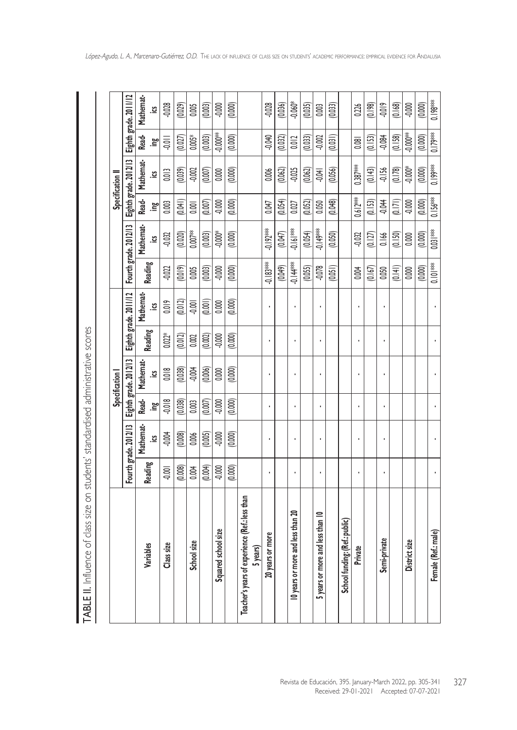|                                                            |          |                       |            | Specification I       |                |                       |               |                                             |            | Specification II |           |                                               |
|------------------------------------------------------------|----------|-----------------------|------------|-----------------------|----------------|-----------------------|---------------|---------------------------------------------|------------|------------------|-----------|-----------------------------------------------|
|                                                            |          | Fourth grade. 2012/13 |            | Eighth grade. 2012/13 |                | Eighth grade. 2011/12 |               | Fourth grade. 2012/13                       |            |                  |           | Eighth grade. 2012/13   Eighth grade. 2011/12 |
| Variables                                                  | Reading  | Mathemat-             | Read-      | Mathemat-             | <b>Reading</b> | Mathemat-             | Reading       | Mathemat-                                   | Read-      |                  | Mathemat- | Read-                                         |
|                                                            |          | <u>ୁ</u>              | ە <u>م</u> | <u>ي</u>              |                | <u>ප</u>              |               | <u>ୁ</u>                                    | ە <u>م</u> |                  | <u>يّ</u> | ە <u>م</u>                                    |
| Class size                                                 | $-0.001$ | $-0.004$              | $-0.018$   | 0.018                 | $0.022*$       | 0.019                 | $-0.022$      | $-0.032$                                    | 0.003      |                  | 0.013     | $\frac{1}{2}$                                 |
|                                                            | (0.008)  | (0.008)               | (0.038)    | (0.038)               | (0.012)        | (0.012)               | (0.019)       | (0.020)                                     | (0.041)    |                  | (0.039)   | (0.027)                                       |
| School size                                                | 0.004    | 0.006                 | 0.003      | $-0.004$              | 0.002          | $-0.001$              | 0.005         | 0.007                                       | 0.001      |                  | $-0.002$  | $0.005\ensuremath{^*}$                        |
|                                                            | (0.004)  | (0.005)               | (0.007)    | (0.006)               | (0.002)        | (0.001)               | (0.003)       | (0.003)                                     | (0.007)    |                  | (0.007)   | (0.003)                                       |
| Squared school size                                        | $-0.000$ | 0.000                 | $-0.000$   | 0.000                 | $-0.000$       | 0.000                 | $-0.000$      | $-0.000*$                                   | $-0.000$   |                  | 0.000     | $-0.000$ **                                   |
|                                                            | (0.000)  | (0.000)               | (0.000)    | (0.000)               | (0.000)        | (0.000)               | (0.000)       | (0.000)                                     | (0.000)    | (0.000)          |           | (0.000)                                       |
| Teacher's years of experience (Ref.: less than<br>5 years) |          |                       |            |                       |                |                       |               |                                             |            |                  |           |                                               |
| 20 years or more                                           |          |                       | ï          |                       |                |                       | $-0.183***$   | $-0.192***$                                 | 0.047      | 0.006            |           | <b>0.040</b>                                  |
|                                                            |          |                       |            |                       |                |                       | (0.049)       | (M)                                         | (0.054)    | (0.062)          |           | (0.032)                                       |
| 10 years or more and less than 20                          | ï        |                       | í,         |                       |                |                       | $-0.144$      | $-0.16$ <sup><math>\frac{3}{2}</math></sup> | 0.027      | $-0.025$         |           | 0.012                                         |
|                                                            |          |                       |            |                       |                |                       | (0.055)       | (0.054)                                     | (0.052)    | (0.062)          |           | (0.033)                                       |
| 5 years or more and less than 10                           |          |                       | ï          |                       |                |                       | $-0.078$      | $-0.149***$                                 | 0.050      | $-0.04$          |           | $-0.002$                                      |
|                                                            |          |                       |            |                       |                |                       | (0.051)       | (0.050)                                     | (0.048)    | (0.056)          |           | (0.031)                                       |
| School funding: (Ref.: public)                             |          |                       |            |                       |                |                       |               |                                             |            |                  |           |                                               |
| Private                                                    |          |                       | ï          |                       |                |                       | 0.004         | $-0.032$                                    | $0.612***$ | $0.387***$       |           | 0.081                                         |
|                                                            |          |                       |            |                       |                |                       | (0.167)       | (0.127)                                     | (0.153)    | (0.143)          |           | (0.153)                                       |
| Semi-private                                               |          |                       | í,         |                       |                |                       | 0.050         | 0.166                                       | $-0.044$   | $-0.156$         |           | $-0.084$                                      |
|                                                            |          |                       |            |                       |                |                       | (0.141)       | (0.150)                                     | (0.171)    | (0.178)          |           | (0.158)                                       |
| District size                                              |          |                       |            |                       |                |                       | 0.000         | 0.000                                       | 0.000      | $-0.000*$        |           | $-0.000$ **                                   |
|                                                            |          |                       |            |                       |                |                       | (0.000)       | (0.000)                                     | (0.000)    | (0.000)          |           | (0.000)                                       |
| Female (Ref.: male)                                        |          |                       |            |                       |                |                       | $\frac{1}{2}$ | $0.03$   ***                                | $0.156***$ | $0.199***$       |           | $ 0.179***$                                   |

TABLE II. Influence of class size on students' standardised administrative scores TABLE II. Influence of class size on students' standardised administrative scores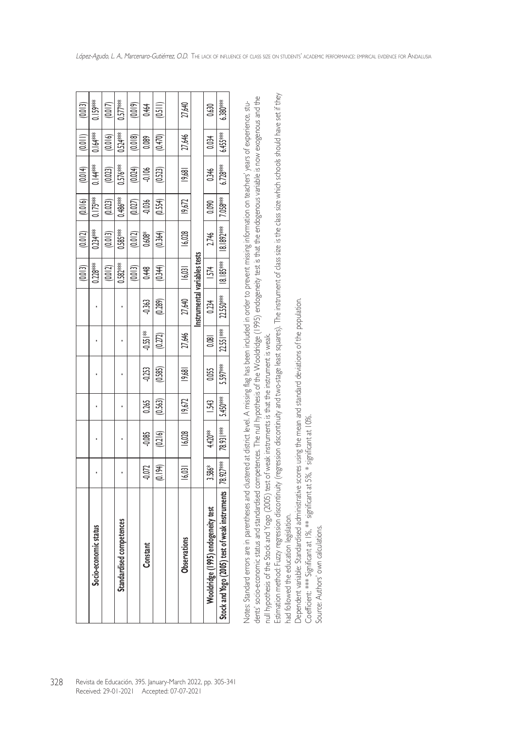| (0.013)                                   | $0.159***$         | (0.017) | $0.577***$           | (0.019) | 0.464                | $\frac{1}{2}$                                            | 27,640       |                              | 0.630                      | $6.380***$                                  |
|-------------------------------------------|--------------------|---------|----------------------|---------|----------------------|----------------------------------------------------------|--------------|------------------------------|----------------------------|---------------------------------------------|
| (0.011)                                   | $0.164***$         | (0.016) | $0.524***$           | (0.018) | 0.089                | (0.470)                                                  | 27,646       |                              | 0.034                      | $6.455***$                                  |
| (0.014)                                   | $0.14***$          | (0.023) | $0.576***$           | (0.024) | $-0.106$             | (0.523)                                                  | 19,681       |                              | 0.346                      | $6.728***$                                  |
| (0.016)                                   | $0.175***$         | (0.023) | $0.486***$           | (0.027) | $-0.036$             | (0.554)                                                  | 19,672       |                              | 0.090                      | $7.058***$                                  |
| (0.012)                                   | $0.234***$         | (0.013) | $0.585***$           | (0.012) | $0.608*$             | (0.364)                                                  | 16,028       |                              | 2.746                      | $18.1892$ <sup>***</sup>                    |
| (0.013)                                   | $0.228***$         | 0.012   | $0.582***$           | (0.013) | 0.448                | (0.344)                                                  | 6,03         |                              | <b>1574</b>                | $18.185***$                                 |
|                                           |                    |         |                      |         | -0363                | (0.289)                                                  | 27,640       | Instrumental variables tests | 0.234                      | $22.550***$                                 |
|                                           |                    |         |                      |         | $-0.55$ <sup>*</sup> | (0.272)                                                  | 27,646       |                              | 0.081                      | $22.55$ $\frac{1}{2}$                       |
|                                           |                    |         |                      |         | $-0.253$             | (0.585)                                                  | 9,68         |                              | 0.055                      | 5.597***                                    |
|                                           |                    |         |                      |         | 0.265                | (0.563)                                                  | 19,672       |                              | £.                         | 5.450***                                    |
|                                           |                    |         |                      |         | $-0.085$             | (0.216)                                                  | 16,028       |                              | $4420**$                   | 78.93  **                                   |
|                                           |                    |         |                      |         | -0.072               | (0.194)                                                  | 6,03         |                              | \$.586*                    |                                             |
|                                           | io-economic status |         | lardised competences |         | Constant             |                                                          | Observations |                              | ge (1995) endogeneity test | (2005) test of weak instruments   78.927*** |
|                                           |                    |         |                      |         |                      |                                                          |              |                              |                            |                                             |
| Received: 29-01-2021 Accepted: 07-07-2021 |                    |         |                      |         |                      | Revista de Educación, 395. January-March 2022, pp. 305-3 |              |                              |                            |                                             |

dents socio-economic status and standardised competences. The null hypothesis of the Wooldridge (1995) endogeneity fest is that the endogenous variable is now exogenous and the dents' socio-economic status and standardised competences. The null hypothesis of the Wooldridge (1995) endogeneity test is that the endogenous variable is now exogenous and the Notes: Standard errors are in parentheses and clustered at district level. A missing flag has been included in order to prevent missing information on teachers' years of experience, stu-Notes: Standard errors are in parentheses and clustered at district level. A missing flag has been included in order to prevent missing information on teachers' years of experience, stunull hypothesis of the Stock and Yogo (2005) test of weak instruments is that the instrument is weak. null hypothesis of the Stock and Yogo (2005) test of weak instruments is that the instrument is weak.

Estimation method: Fuzzy regression discontinuity (regression discontinuity and two-stage least squares). The instrument of class size is the class size which schools should have set if they Estimation method: Fuzzy regression discontinuity (regression discontinuity and two-stage least squares). The instrument of class size is the class size which schools should have set if they had followed the education legislation. had followed the education legislation.

Dependent variable: Standardised administrative scores using the mean and standard deviations of the population. Dependent variable: Standardised administrative scores using the mean and standard deviations of the population.

Coefficient: \*\*\* Significant at 1%, \*\* significant at 5%, \* significant at 10%. Coefficient: \*\*\* Significant at 1%, \*\* significant at 5%, \* significant at 10%.

Source: Authors' own calculations. Source: Authors' own calculations.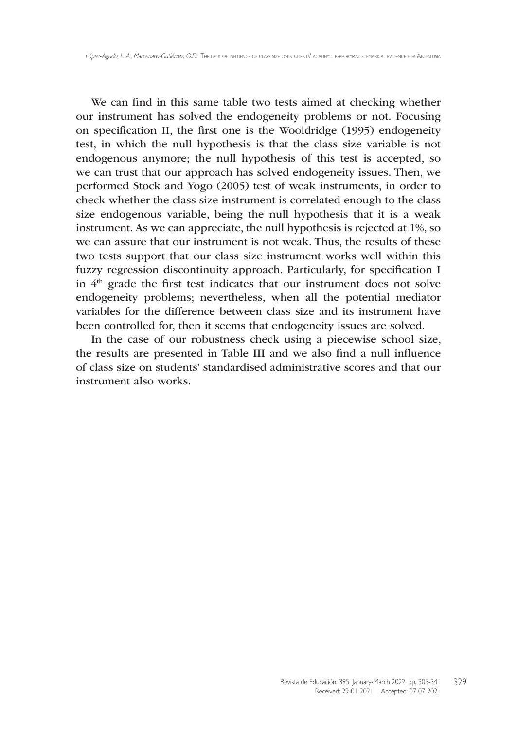We can find in this same table two tests aimed at checking whether our instrument has solved the endogeneity problems or not. Focusing on specification II, the first one is the Wooldridge (1995) endogeneity test, in which the null hypothesis is that the class size variable is not endogenous anymore; the null hypothesis of this test is accepted, so we can trust that our approach has solved endogeneity issues. Then, we performed Stock and Yogo (2005) test of weak instruments, in order to check whether the class size instrument is correlated enough to the class size endogenous variable, being the null hypothesis that it is a weak instrument. As we can appreciate, the null hypothesis is rejected at 1%, so we can assure that our instrument is not weak. Thus, the results of these two tests support that our class size instrument works well within this fuzzy regression discontinuity approach. Particularly, for specification I in  $4<sup>th</sup>$  grade the first test indicates that our instrument does not solve endogeneity problems; nevertheless, when all the potential mediator variables for the difference between class size and its instrument have been controlled for, then it seems that endogeneity issues are solved.

In the case of our robustness check using a piecewise school size, the results are presented in Table III and we also find a null influence of class size on students' standardised administrative scores and that our instrument also works.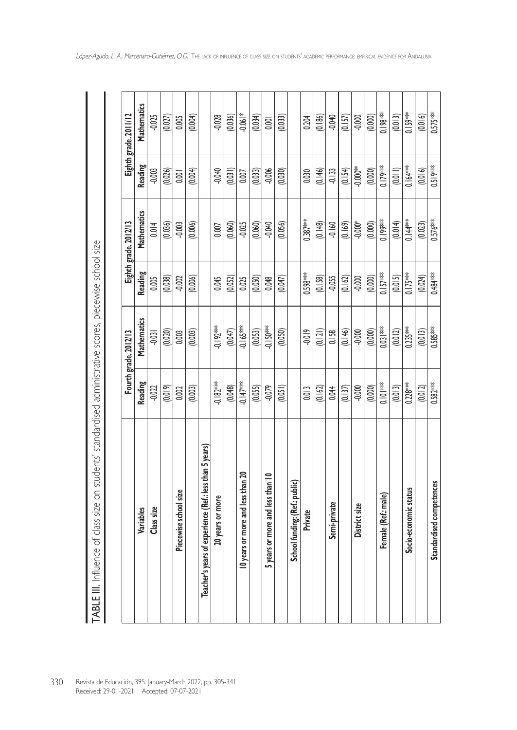|                                                              |                                                    | Fourth grade. 2012/13 |            | Eighth grade. 2012/13 |                        | Eighth grade. 2011/12 |
|--------------------------------------------------------------|----------------------------------------------------|-----------------------|------------|-----------------------|------------------------|-----------------------|
| Variables                                                    | <b>Reading</b>                                     | Mathematics           | Reading    | Mathematics           | Reading                | Mathematics           |
| Class size                                                   | $-0.022$                                           | $-0.031$              | 0.005      | 0.014                 | $-0.003$               | $-0.025$              |
|                                                              | (0.019)                                            | (0.020)               | (0.038)    | (0.036)               | (0.026)                | (0.027)               |
| Piecewise school size                                        | 0.002                                              | 0.003                 | $-0.002$   | $-0.003$              | 0.001                  | 0.005                 |
|                                                              | (0.003)                                            | (0.003)               | (0.006)    | (0.006)               | (0.004)                | (0.004)               |
| r's years of experience (Ref.: less than 5 years)<br>Teacher |                                                    |                       |            |                       |                        |                       |
| 20 years or more                                             | $-0.182***$                                        | $-0.192**$            | 0.045      | 0.007                 | $-0.040$               | $-0.028$              |
|                                                              | (0.048)                                            | (0.047)               | (0.052)    | (0.060)               | (0.031)                | (0.036)               |
| 10 years or more and less than 20                            | $-0.147***$                                        | $-0.165**$            | 0.025      | $-0.025$              | 0.007                  | $-0.06$ <sup>*</sup>  |
|                                                              | (0.055)                                            | (0.053)               | (0.050)    | (0.060)               | (0.033)                | (0.034)               |
| 5 years or more and less than 10                             | $-0.079$                                           | $-0.150**$            | 0.048      | $-0.040$              | $-0.006$               | 0.001                 |
|                                                              | (0.051)                                            | (0.050)               | (0.047)    | (0.056)               | (0.030)                | (0.033)               |
| School funding: (Ref.: public)                               |                                                    |                       |            |                       |                        |                       |
| Private                                                      | 0.013                                              | $-0.019$              | 0.598***   | $0.387***$            | 0.030                  | 0.204                 |
|                                                              | (0.162)                                            | (0.121)               | (0.158)    | (0.148)               | (0.146)                | (0.186)               |
| Semi-private                                                 | 0.044                                              | 0.158                 | $-0.055$   | $-0.160$              | $-0.133$               | -0.040                |
|                                                              | (0.137)                                            | (0.146)               | (0.162)    | (0.169)               | (0.154)                | (0.157)               |
| District size                                                | $-0.000$                                           | $-0.000$              | $-0.000$   | $-0.000*$             | $-0.000$ <sup>**</sup> | $-0.000$              |
|                                                              | (0.000)                                            | (0.000)               | (0.000)    | (0.000)               | (0.000)                | (0.000)               |
| Female (Ref.: male)                                          | <b> <math>\frac{2}{3}</math></b><br><b>○</b>  ○  ○ | $0.031***$            | $0.157***$ | $0.199***$            | $0.179***$             | ** 86_10              |
|                                                              | (0.013)                                            | (0.012)               | (0.015)    | (0.014)               | (0.011)                | (0.013)               |
| Socio-economic status                                        | $0.228***$                                         | $0.235***$            | $0.175***$ | $0.144**$             | $0.164***$             | 0.159**               |
|                                                              | (0.012)                                            | (0.013)               | (0.024)    | (0.023)               | (0.016)                | (0.016)               |
| Standardised competences                                     | $0.582***$                                         | $0.585***$            | 0.484**    | 0.576***              | 0.519***               | $0.575***$            |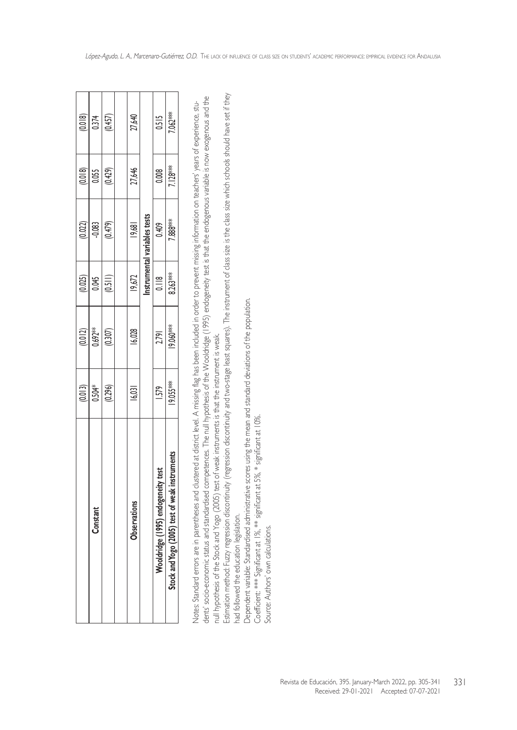|                                                | (0.013)   | (0.012)          | (0.025)        | (0.022)                      | (0.018)    | (0.018) |
|------------------------------------------------|-----------|------------------|----------------|------------------------------|------------|---------|
| Constant                                       | 0.504*    | $0.692**$        | 0.045          | $-0.083$                     | 0.055      | 0.374   |
|                                                | (0.296)   | (0.307)          | (0.511)        | (0.479)                      | (0.429)    | (0.457) |
|                                                |           |                  |                |                              |            |         |
| Observations                                   | 16,031    | 16,028           | 19,672         | 19,681                       | 27,646     | 27,640  |
|                                                |           |                  |                | Instrumental variables tests |            |         |
| Wooldridge (1995) endogeneity test             | 1.579     | 2.791            | $\frac{8}{10}$ | 0.409                        | 0.008      | 0.515   |
| Stock and Yogo (2005) test of weak instruments | 19.055*** | <b>19.060***</b> | 8.263**        | 7.888***                     | $7.128***$ | 7.062** |
|                                                |           |                  |                |                              |            |         |

dents' socio-economic status and standardised competences. The null hypothesis of the Wooldridge (1995) endogeneity test is that the endogenous variable is now exogenous and the dents' socio-economic status and standardised competences. The null hypothesis of the Wooldridge (1995) endogeneity test is that the endogenous variable is now exogenous and the Notes: Standard errors are in parentheses and clustered at district level. A missing flag has been included in order to prevent missing information on teachers' years of experience, stu-Notes: Standard errors are in parentheses and clustered at district level. A missing flag has been included in order to prevent missing information on teachers' years of experience, stunull hypothesis of the Stock and Yogo (2005) test of weak instruments is that the instrument is weak. null hypothesis of the Stock and Yogo (2005) test of weak instruments is that the instrument is weak.

Estimation method: Fuzzy regression discontinuity (regression discontinuity and two-stage least squares). The instrument of class size is the class size which schools should have set if they Estimation method: Fuzzy regression discontinuity (regression discontinuity and two-stage least squares). The instrument of class size is the class size which schools should have set if they had followed the education legislation. had followed the education legislation.

Dependent variable: Standardised administrative scores using the mean and standard deviations of the population. Dependent variable: Standardised administrative scores using the mean and standard deviations of the population.

Coefficient: \*\*\* Significant at 1%, \*\* significant at 5%, \* significant at 10%. Coefficient: \*\*\* Significant at 1%, \*\* significant at 5%, \* significant at 10%.

Source: Authors' own calculations. Source: Authors' own calculations.

Revista de Educación, 395. January-March 2022, pp. 305-341 331

Received: 29-01-2021 Accepted: 07-07-2021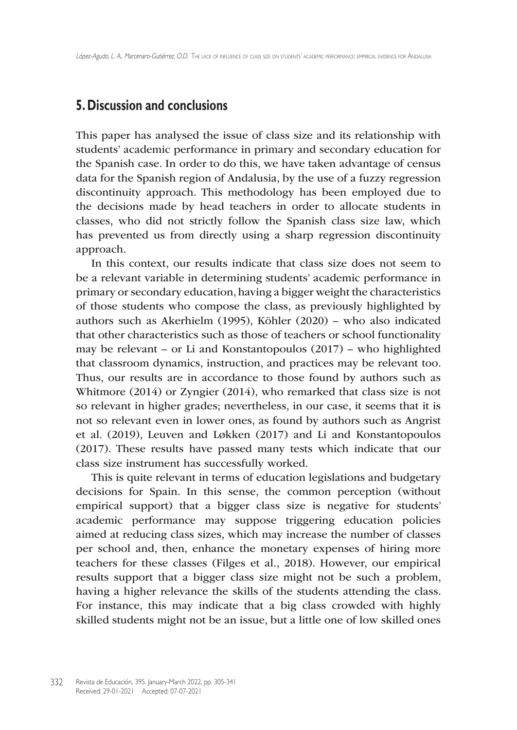## **5. Discussion and conclusions**

This paper has analysed the issue of class size and its relationship with students' academic performance in primary and secondary education for the Spanish case. In order to do this, we have taken advantage of census data for the Spanish region of Andalusia, by the use of a fuzzy regression discontinuity approach. This methodology has been employed due to the decisions made by head teachers in order to allocate students in classes, who did not strictly follow the Spanish class size law, which has prevented us from directly using a sharp regression discontinuity approach.

In this context, our results indicate that class size does not seem to be a relevant variable in determining students' academic performance in primary or secondary education, having a bigger weight the characteristics of those students who compose the class, as previously highlighted by authors such as Akerhielm (1995), Köhler (2020) – who also indicated that other characteristics such as those of teachers or school functionality may be relevant – or Li and Konstantopoulos (2017) – who highlighted that classroom dynamics, instruction, and practices may be relevant too. Thus, our results are in accordance to those found by authors such as Whitmore (2014) or Zyngier (2014), who remarked that class size is not so relevant in higher grades; nevertheless, in our case, it seems that it is not so relevant even in lower ones, as found by authors such as Angrist et al. (2019), Leuven and Løkken (2017) and Li and Konstantopoulos (2017). These results have passed many tests which indicate that our class size instrument has successfully worked.

This is quite relevant in terms of education legislations and budgetary decisions for Spain. In this sense, the common perception (without empirical support) that a bigger class size is negative for students' academic performance may suppose triggering education policies aimed at reducing class sizes, which may increase the number of classes per school and, then, enhance the monetary expenses of hiring more teachers for these classes (Filges et al., 2018). However, our empirical results support that a bigger class size might not be such a problem, having a higher relevance the skills of the students attending the class. For instance, this may indicate that a big class crowded with highly skilled students might not be an issue, but a little one of low skilled ones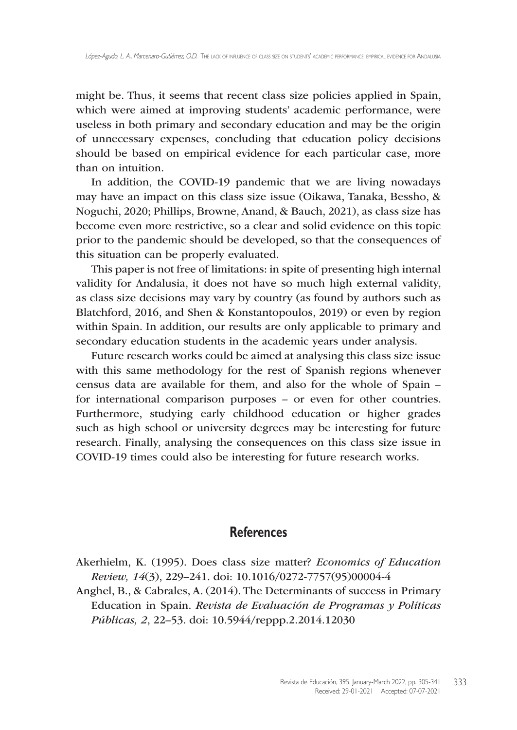might be. Thus, it seems that recent class size policies applied in Spain, which were aimed at improving students' academic performance, were useless in both primary and secondary education and may be the origin of unnecessary expenses, concluding that education policy decisions should be based on empirical evidence for each particular case, more than on intuition.

In addition, the COVID-19 pandemic that we are living nowadays may have an impact on this class size issue (Oikawa, Tanaka, Bessho, & Noguchi, 2020; Phillips, Browne, Anand, & Bauch, 2021), as class size has become even more restrictive, so a clear and solid evidence on this topic prior to the pandemic should be developed, so that the consequences of this situation can be properly evaluated.

This paper is not free of limitations: in spite of presenting high internal validity for Andalusia, it does not have so much high external validity, as class size decisions may vary by country (as found by authors such as Blatchford, 2016, and Shen & Konstantopoulos, 2019) or even by region within Spain. In addition, our results are only applicable to primary and secondary education students in the academic years under analysis.

Future research works could be aimed at analysing this class size issue with this same methodology for the rest of Spanish regions whenever census data are available for them, and also for the whole of Spain – for international comparison purposes – or even for other countries. Furthermore, studying early childhood education or higher grades such as high school or university degrees may be interesting for future research. Finally, analysing the consequences on this class size issue in COVID-19 times could also be interesting for future research works.

## **References**

- Akerhielm, K. (1995). Does class size matter? *Economics of Education Review, 14*(3), 229–241. doi: 10.1016/0272-7757(95)00004-4
- Anghel, B., & Cabrales, A. (2014). The Determinants of success in Primary Education in Spain. *Revista de Evaluación de Programas y Políticas Públicas, 2*, 22–53. doi: <10.5944/reppp>.2.2014.12030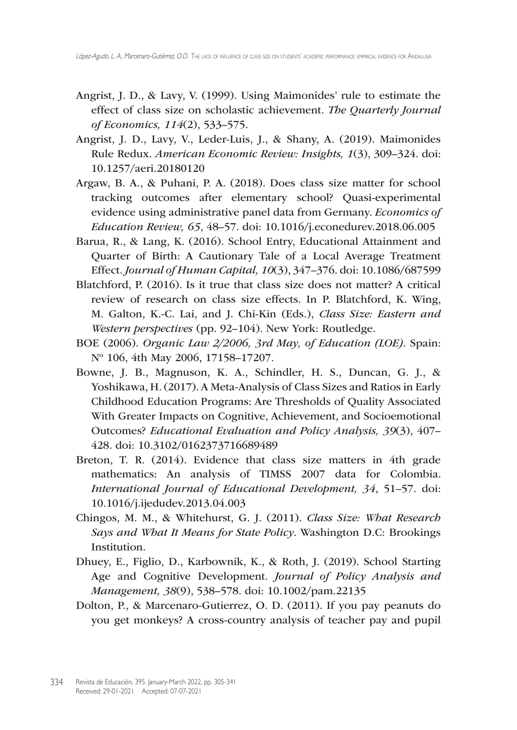- Angrist, J. D., & Lavy, V. (1999). Using Maimonides' rule to estimate the effect of class size on scholastic achievement. *The Quarterly Journal of Economics, 114*(2), 533–575.
- Angrist, J. D., Lavy, V., Leder-Luis, J., & Shany, A. (2019). Maimonides Rule Redux. *American Economic Review: Insights, 1*(3), 309–324. doi: <10.1257/aeri>.20180120
- Argaw, B. A., & Puhani, P. A. (2018). Does class size matter for school tracking outcomes after elementary school? Quasi-experimental evidence using administrative panel data from Germany. *Economics of Education Review, 65*, 48–57. doi: [10.1016/j.econedurev.](10.1016/j.econedurev)2018.06.005
- Barua, R., & Lang, K. (2016). School Entry, Educational Attainment and Quarter of Birth: A Cautionary Tale of a Local Average Treatment Effect*. Journal of Human Capital, 10*(3), 347–376. doi: 10.1086/687599
- Blatchford, P. (2016). Is it true that class size does not matter? A critical review of research on class size effects. In P. Blatchford, K. Wing, M. Galton, K.-C. Lai, and J. Chi-Kin (Eds.), *Class Size: Eastern and Western perspectives* (pp. 92–104). New York: Routledge.
- BOE (2006). *Organic Law 2/2006, 3rd May, of Education (LOE)*. Spain: Nº 106, 4th May 2006, 17158–17207.
- Bowne, J. B., Magnuson, K. A., Schindler, H. S., Duncan, G. J., & Yoshikawa, H. (2017). A Meta-Analysis of Class Sizes and Ratios in Early Childhood Education Programs: Are Thresholds of Quality Associated With Greater Impacts on Cognitive, Achievement, and Socioemotional Outcomes? *Educational Evaluation and Policy Analysis, 39*(3), 407– 428. doi: 10.3102/0162373716689489
- Breton, T. R. (2014). Evidence that class size matters in 4th grade mathematics: An analysis of TIMSS 2007 data for Colombia. *International Journal of Educational Development, 34*, 51–57. doi: <10.1016/j.ijedudev>.2013.04.003
- Chingos, M. M., & Whitehurst, G. J. (2011). *Class Size: What Research Says and What It Means for State Policy*. Washington D.C: Brookings Institution.
- Dhuey, E., Figlio, D., Karbownik, K., & Roth, J. (2019). School Starting Age and Cognitive Development. *Journal of Policy Analysis and Management, 38*(9), 538–578. doi: <10.1002/pam>.22135
- Dolton, P., & Marcenaro-Gutierrez, O. D. (2011). If you pay peanuts do you get monkeys? A cross-country analysis of teacher pay and pupil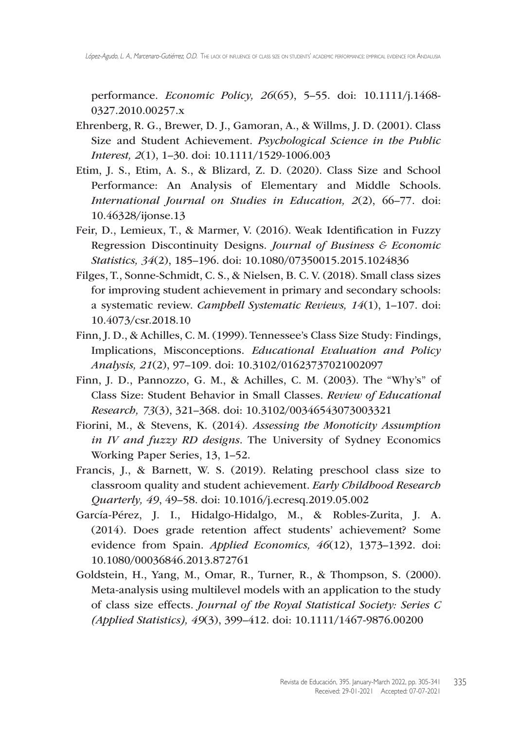performance. *Economic Policy, 26*(65), 5–55. doi: 10.1111/j.1468- 0327.2010.00257.x

- Ehrenberg, R. G., Brewer, D. J., Gamoran, A., & Willms, J. D. (2001). Class Size and Student Achievement. *Psychological Science in the Public Interest, 2*(1), 1–30. doi: 10.1111/1529-1006.003
- Etim, J. S., Etim, A. S., & Blizard, Z. D. (2020). Class Size and School Performance: An Analysis of Elementary and Middle Schools. *International Journal on Studies in Education, 2*(2), 66–77. doi: <10.46328/ijonse>.13
- Feir, D., Lemieux, T., & Marmer, V. (2016). Weak Identification in Fuzzy Regression Discontinuity Designs. *Journal of Business & Economic Statistics, 34*(2), 185–196. doi: 10.1080/07350015.2015.1024836
- Filges, T., Sonne-Schmidt, C. S., & Nielsen, B. C. V. (2018). Small class sizes for improving student achievement in primary and secondary schools: a systematic review. *Campbell Systematic Reviews, 14*(1), 1–107. doi: <10.4073/csr>.2018.10
- Finn, J. D., & Achilles, C. M. (1999). Tennessee's Class Size Study: Findings, Implications, Misconceptions. *Educational Evaluation and Policy Analysis, 21*(2), 97–109. doi: 10.3102/01623737021002097
- Finn, J. D., Pannozzo, G. M., & Achilles, C. M. (2003). The "Why's" of Class Size: Student Behavior in Small Classes. *Review of Educational Research, 73*(3), 321–368. doi: 10.3102/00346543073003321
- Fiorini, M., & Stevens, K. (2014). *Assessing the Monoticity Assumption in IV and fuzzy RD designs*. The University of Sydney Economics Working Paper Series, 13, 1–52.
- Francis, J., & Barnett, W. S. (2019). Relating preschool class size to classroom quality and student achievement. *Early Childhood Research Quarterly, 49*, 49–58. doi: [10.1016/j.ecresq.](10.1016/j.ecresq)2019.05.002
- García-Pérez, J. I., Hidalgo-Hidalgo, M., & Robles-Zurita, J. A. (2014). Does grade retention affect students' achievement? Some evidence from Spain. *Applied Economics, 46*(12), 1373–1392. doi: 10.1080/00036846.2013.872761
- Goldstein, H., Yang, M., Omar, R., Turner, R., & Thompson, S. (2000). Meta-analysis using multilevel models with an application to the study of class size effects. *Journal of the Royal Statistical Society: Series C (Applied Statistics), 49*(3), 399–412. doi: 10.1111/1467-9876.00200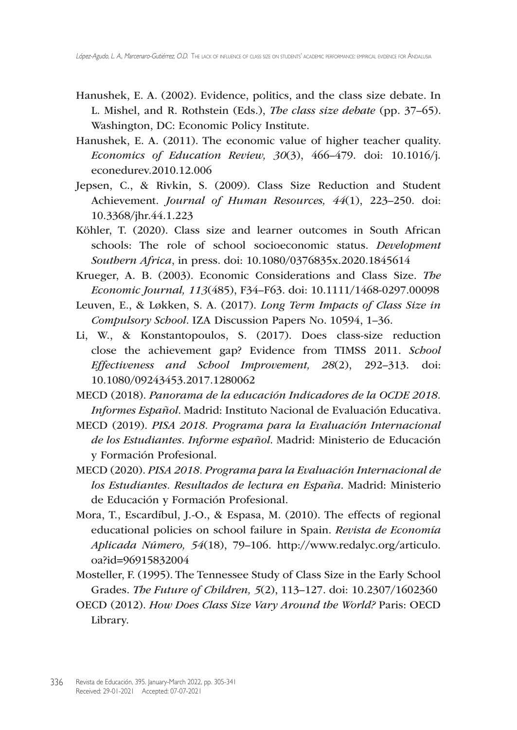- Hanushek, E. A. (2002). Evidence, politics, and the class size debate. In L. Mishel, and R. Rothstein (Eds.), *The class size debate* (pp. 37–65). Washington, DC: Economic Policy Institute.
- Hanushek, E. A. (2011). The economic value of higher teacher quality. *Economics of Education Review, 30*(3), 466–479. doi: [10.1016/j.](10.1016/j.econedurev) [econedurev.](10.1016/j.econedurev)2010.12.006
- Jepsen, C., & Rivkin, S. (2009). Class Size Reduction and Student Achievement. *Journal of Human Resources, 44*(1), 223–250. doi: <10.3368/jhr>.44.1.223
- Köhler, T. (2020). Class size and learner outcomes in South African schools: The role of school socioeconomic status. *Development Southern Africa*, in press. doi: 10.1080/0376835x.2020.1845614
- Krueger, A. B. (2003). Economic Considerations and Class Size. *The Economic Journal, 113*(485), F34–F63. doi: 10.1111/1468-0297.00098
- Leuven, E., & Løkken, S. A. (2017). *Long Term Impacts of Class Size in Compulsory School*. IZA Discussion Papers No. 10594, 1–36.
- Li, W., & Konstantopoulos, S. (2017). Does class-size reduction close the achievement gap? Evidence from TIMSS 2011. *School Effectiveness and School Improvement, 28*(2), 292–313. doi: 10.1080/09243453.2017.1280062
- MECD (2018). *Panorama de la educación Indicadores de la OCDE 2018. Informes Español*. Madrid: Instituto Nacional de Evaluación Educativa.
- MECD (2019). *PISA 2018. Programa para la Evaluación Internacional de los Estudiantes. Informe español*. Madrid: Ministerio de Educación y Formación Profesional.
- MECD (2020). *PISA 2018. Programa para la Evaluación Internacional de los Estudiantes. Resultados de lectura en España*. Madrid: Ministerio de Educación y Formación Profesional.
- Mora, T., Escardíbul, J.-O., & Espasa, M. (2010). The effects of regional educational policies on school failure in Spain. *Revista de Economía Aplicada Número, 54*(18), 79–106. [http://www.redalyc.org/articulo.](http://www.redalyc.org/articulo.oa?id=96915832004) [oa?id=96915832004](http://www.redalyc.org/articulo.oa?id=96915832004)
- Mosteller, F. (1995). The Tennessee Study of Class Size in the Early School Grades. *The Future of Children, 5*(2), 113–127. doi: 10.2307/1602360
- OECD (2012). *How Does Class Size Vary Around the World?* Paris: OECD Library.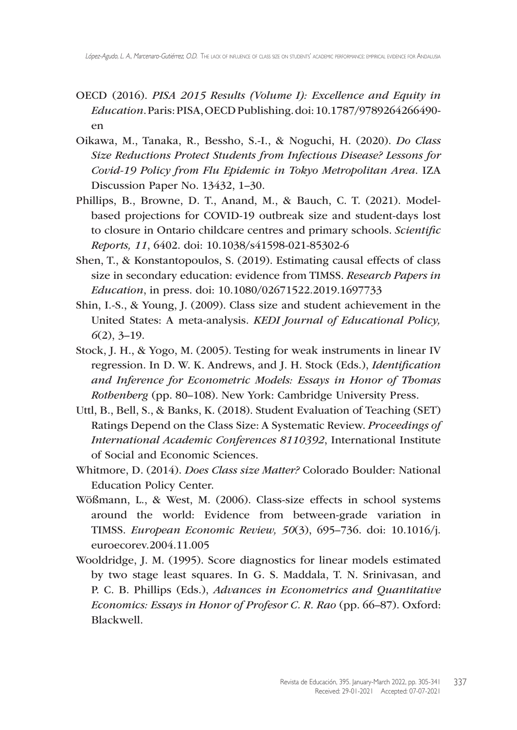- OECD (2016). *PISA 2015 Results (Volume I): Excellence and Equity in Education*. Paris: PISA, OECD Publishing. doi: 10.1787/9789264266490 en
- Oikawa, M., Tanaka, R., Bessho, S.-I., & Noguchi, H. (2020). *Do Class Size Reductions Protect Students from Infectious Disease? Lessons for Covid-19 Policy from Flu Epidemic in Tokyo Metropolitan Area*. IZA Discussion Paper No. 13432, 1–30.
- Phillips, B., Browne, D. T., Anand, M., & Bauch, C. T. (2021). Modelbased projections for COVID-19 outbreak size and student-days lost to closure in Ontario childcare centres and primary schools. *Scientific Reports, 11*, 6402. doi: 10.1038/s41598-021-85302-6
- Shen, T., & Konstantopoulos, S. (2019). Estimating causal effects of class size in secondary education: evidence from TIMSS. *Research Papers in Education*, in press. doi: 10.1080/02671522.2019.1697733
- Shin, I.-S., & Young, J. (2009). Class size and student achievement in the United States: A meta-analysis. *KEDI Journal of Educational Policy, 6*(2), 3–19.
- Stock, J. H., & Yogo, M. (2005). Testing for weak instruments in linear IV regression. In D. W. K. Andrews, and J. H. Stock (Eds.), *Identification and Inference for Econometric Models: Essays in Honor of Thomas Rothenberg* (pp. 80–108). New York: Cambridge University Press.
- Uttl, B., Bell, S., & Banks, K. (2018). Student Evaluation of Teaching (SET) Ratings Depend on the Class Size: A Systematic Review. *Proceedings of International Academic Conferences 8110392*, International Institute of Social and Economic Sciences.
- Whitmore, D. (2014). *Does Class size Matter?* Colorado Boulder: National Education Policy Center.
- Wößmann, L., & West, M. (2006). Class-size effects in school systems around the world: Evidence from between-grade variation in TIMSS. *European Economic Review, 50*(3), 695–736. doi: [10.1016/j.](10.1016/j.euroecorev) [euroecorev](10.1016/j.euroecorev).2004.11.005
- Wooldridge, J. M. (1995). Score diagnostics for linear models estimated by two stage least squares. In G. S. Maddala, T. N. Srinivasan, and P. C. B. Phillips (Eds.), *Advances in Econometrics and Quantitative Economics: Essays in Honor of Profesor C. R. Rao* (pp. 66–87). Oxford: Blackwell.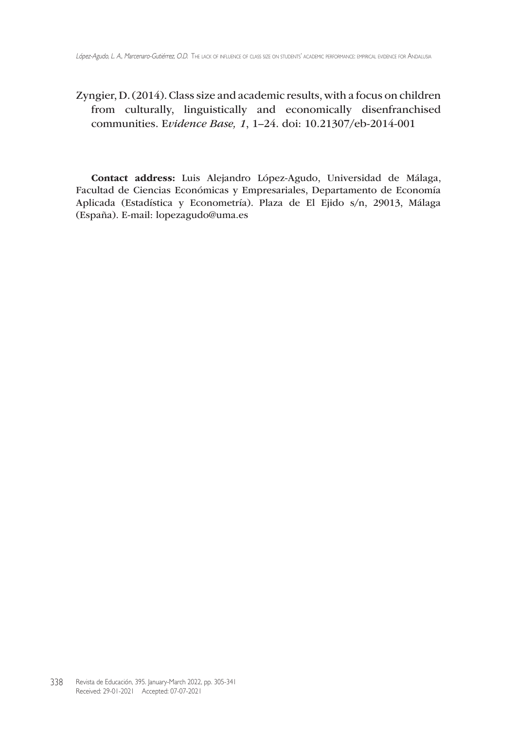Zyngier, D. (2014). Class size and academic results, with a focus on children from culturally, linguistically and economically disenfranchised communities. E*vidence Base, 1*, 1–24. doi:<10.21307/eb>-2014-001

Contact address: Luis Alejandro López-Agudo, Universidad de Málaga, Facultad de Ciencias Económicas y Empresariales, Departamento de Economía Aplicada (Estadística y Econometría). Plaza de El Ejido s/n, 29013, Málaga (España). E-mail: [lopezagudo@uma.es](mailto:lopezagudo@uma.es)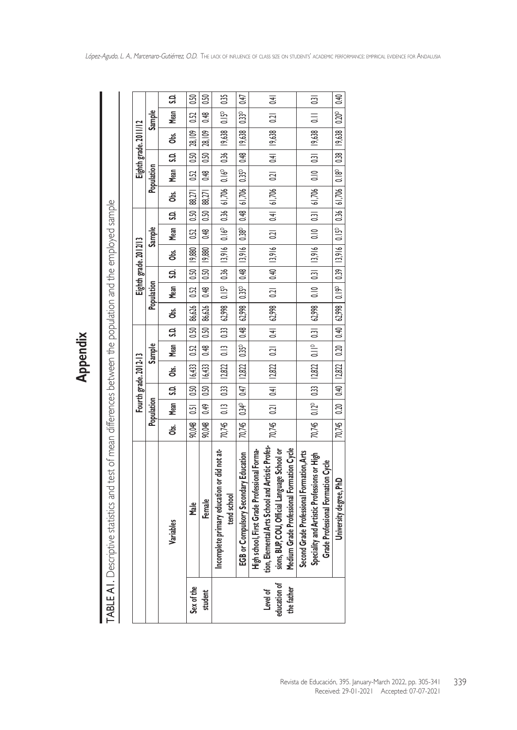TABLE AI. Descriptive statistics and test of mean differences between the population and the employed sample TABLE A1. Descriptive statistics and test of mean differences between the population and the employed sample

|                                        |                                                                                                                                                                                               |                                                                                                                        |             | Fourth grade. 2012-13      |               |      |                                                                                                                    |               | Eighth grade. 2012/13 |                          |                    |            |      | Eighth grade. 2011/12                                                                                                              |                   |                               |
|----------------------------------------|-----------------------------------------------------------------------------------------------------------------------------------------------------------------------------------------------|------------------------------------------------------------------------------------------------------------------------|-------------|----------------------------|---------------|------|--------------------------------------------------------------------------------------------------------------------|---------------|-----------------------|--------------------------|--------------------|------------|------|------------------------------------------------------------------------------------------------------------------------------------|-------------------|-------------------------------|
|                                        |                                                                                                                                                                                               |                                                                                                                        | Population  |                            | <b>Sample</b> |      |                                                                                                                    | Population    |                       | <b>Sample</b>            |                    | Population |      |                                                                                                                                    | <b>Sample</b>     |                               |
|                                        | Variables                                                                                                                                                                                     | ර්<br>ජි                                                                                                               | Mean        |                            |               |      | S.D.   Obs.   Mean   S.D.   Obs.   Mean   S.D.   Obs.                                                              |               |                       |                          | Mean   S.D.   Obs. |            |      | Mean   S.D.   Obs.                                                                                                                 | Mean              | S.                            |
| Sex of the                             | <b>Male</b>                                                                                                                                                                                   | 90,048                                                                                                                 | 0.51        | $0.50$   $16.433$   $0.52$ |               |      | $\mid 0.50 \mid 86.626 \mid 0.52 \mid 0.50 \mid 19.880$                                                            |               |                       | $0.52$   $0.50$   88.271 |                    |            |      | $0.52$ $0.50$ $28.109$                                                                                                             | 0.52              | 0.50                          |
| student                                | Female                                                                                                                                                                                        | 90,048                                                                                                                 | <b>9.49</b> | $0.50$   $16,433$   $0.48$ |               | 0.50 | 86,626                                                                                                             | $0.48$   0.50 | 9,880                 | $0.48$   0.50            | 88,271             | <b>948</b> | 0.50 | 28,109                                                                                                                             | 0.48              | 0.50                          |
|                                        | Incomplete primary education or did not at-<br>tend school                                                                                                                                    |                                                                                                                        |             |                            |               |      |                                                                                                                    |               |                       |                          |                    |            |      | 70,745   0.13   0.33   12,822   0.13   0.33   62,998   0.15°   0.36   1.3916   0.16°   0.36   0.16°   0.36   19,638   0.15°        |                   | 0.35                          |
|                                        | EGB or Compulsory Secondary Education                                                                                                                                                         | 70,745   0.34°   0.47   12,822   0.35°   0.48   62,998   0.35°   0.48   13,916   0.48   61,706   0.35°   0.48   19,638 |             |                            |               |      |                                                                                                                    |               |                       |                          |                    |            |      |                                                                                                                                    | 0.33 <sup>5</sup> | 0.47                          |
| education of<br>the father<br>Level of | tion, Elemental Arts School and Artistic Profes-<br>Medium Grade Professional Formation Cycle<br>High school, First Grade Professional Forma-<br>sions, BUP, COU, Official Language School or |                                                                                                                        |             |                            |               |      |                                                                                                                    |               |                       |                          |                    |            |      | 70,745   0.21   0.41   12,822   0.21   0.41   62,998   0.21   0.40   13,916   0.21   0.41   61,706   0.21   0.41   19,638   0.21   |                   | $\overline{6}$                |
|                                        | Second Grade Professional Formation, Arts<br>Speciality and Artistic Professions or High<br>Grade Professional Formation Cycle                                                                |                                                                                                                        |             |                            |               |      | 70,745   0.12°   0.33   12,822   0.11°   0.31   62,998   0.10   0.31   13,916   0.10   0.31   61,706   0.10   0.31 |               |                       |                          |                    |            |      | 19,638                                                                                                                             | $\equiv$          | $\overline{\phantom{0}}$ 0.31 |
|                                        | University degree, PhD                                                                                                                                                                        |                                                                                                                        |             |                            |               |      |                                                                                                                    |               |                       |                          |                    |            |      | 70,745   0.20   0.40   1.2822   0.20   0.40   62,998   0.19°   0.39   0.15°   0.36   61,706   0.18°   0.38   19,638   0.20°   0.40 |                   |                               |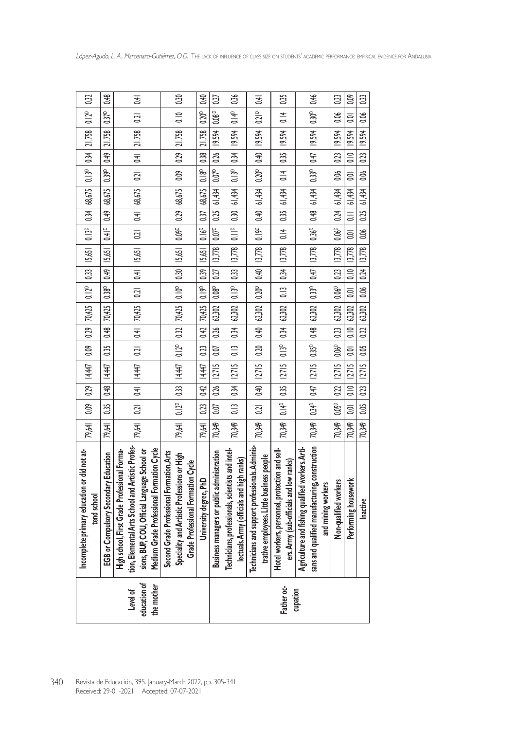| 0.32                                                                 | 0.48                                                      | $\overline{6}$                                                                                                                                                                               | 0.30                                                                                                                           |                                                                                                                           | 0.27                                                                                                 | 0.36                                                                                                      | $\overline{4}$                                                                                  | 0.35                                                                                    | $0.30^{p}$ 0.46                                                                                                                                                        |                                                                                                                        | 0.09                                                                                                |                                                                                                                                       |
|----------------------------------------------------------------------|-----------------------------------------------------------|----------------------------------------------------------------------------------------------------------------------------------------------------------------------------------------------|--------------------------------------------------------------------------------------------------------------------------------|---------------------------------------------------------------------------------------------------------------------------|------------------------------------------------------------------------------------------------------|-----------------------------------------------------------------------------------------------------------|-------------------------------------------------------------------------------------------------|-----------------------------------------------------------------------------------------|------------------------------------------------------------------------------------------------------------------------------------------------------------------------|------------------------------------------------------------------------------------------------------------------------|-----------------------------------------------------------------------------------------------------|---------------------------------------------------------------------------------------------------------------------------------------|
| 0.12 <sup>D</sup>                                                    | $0.37^{D}$                                                | 0.21                                                                                                                                                                                         | $\frac{1}{2}$                                                                                                                  |                                                                                                                           | 0.08 <sup>D</sup>                                                                                    | $0.14^{D}$                                                                                                | 0.21P                                                                                           | $\frac{4}{10}$                                                                          |                                                                                                                                                                        |                                                                                                                        | 0.01                                                                                                |                                                                                                                                       |
| $0.34$ 21,758                                                        | $0.49$   21,758                                           | $0.21$ $0.41$ $21,758$                                                                                                                                                                       | 0.29   21,758                                                                                                                  |                                                                                                                           | $0.07^{\circ}$   0.26   19.594                                                                       | 0.34   19,594                                                                                             |                                                                                                 |                                                                                         |                                                                                                                                                                        |                                                                                                                        |                                                                                                     |                                                                                                                                       |
|                                                                      |                                                           |                                                                                                                                                                                              |                                                                                                                                |                                                                                                                           |                                                                                                      |                                                                                                           |                                                                                                 |                                                                                         |                                                                                                                                                                        |                                                                                                                        |                                                                                                     |                                                                                                                                       |
| 0.13 <sup>D</sup>                                                    | $-1.39^{\circ}$                                           |                                                                                                                                                                                              | $\frac{1}{200}$                                                                                                                |                                                                                                                           |                                                                                                      |                                                                                                           |                                                                                                 |                                                                                         |                                                                                                                                                                        |                                                                                                                        |                                                                                                     |                                                                                                                                       |
| 68,675                                                               | 68,675                                                    | $0.21$ $0.41$ 68,675                                                                                                                                                                         |                                                                                                                                |                                                                                                                           |                                                                                                      | $0.13^{\circ}$ $\mid 0.33 \mid 13{,}778 \mid 0.11^{\circ} \mid 0.30 \mid 61{,}434 \mid 0.13^{\circ} \mid$ |                                                                                                 | $0.13 \t10.34 \t13.778 \t10.14 \t0.35 \t6.434 \t10.14 \t0.35 \t19.594$                  |                                                                                                                                                                        |                                                                                                                        |                                                                                                     |                                                                                                                                       |
|                                                                      |                                                           |                                                                                                                                                                                              |                                                                                                                                |                                                                                                                           |                                                                                                      |                                                                                                           |                                                                                                 |                                                                                         |                                                                                                                                                                        |                                                                                                                        |                                                                                                     |                                                                                                                                       |
| $0.13^{D}$ 0.34                                                      | $0.38^{\circ}$   0.49   15,651   0.41 <sup>p</sup>   0.49 |                                                                                                                                                                                              |                                                                                                                                |                                                                                                                           |                                                                                                      |                                                                                                           |                                                                                                 |                                                                                         |                                                                                                                                                                        |                                                                                                                        |                                                                                                     |                                                                                                                                       |
|                                                                      |                                                           | $0.21$ $0.41$ $15,651$                                                                                                                                                                       |                                                                                                                                |                                                                                                                           |                                                                                                      |                                                                                                           |                                                                                                 |                                                                                         |                                                                                                                                                                        |                                                                                                                        |                                                                                                     |                                                                                                                                       |
|                                                                      |                                                           |                                                                                                                                                                                              |                                                                                                                                |                                                                                                                           |                                                                                                      |                                                                                                           |                                                                                                 |                                                                                         |                                                                                                                                                                        |                                                                                                                        |                                                                                                     |                                                                                                                                       |
|                                                                      |                                                           |                                                                                                                                                                                              |                                                                                                                                |                                                                                                                           |                                                                                                      |                                                                                                           |                                                                                                 |                                                                                         |                                                                                                                                                                        |                                                                                                                        |                                                                                                     |                                                                                                                                       |
| $\mid 0.29 \mid 70,425 \mid 0.12^{\circ} \mid 0.33 \mid 15,651 \mid$ | 70,425                                                    | 0.21   0.41   70,425                                                                                                                                                                         |                                                                                                                                |                                                                                                                           | $0.07$   $0.26$   $62,302$   $0.08^{\circ}$   $0.27$   $13,778$   $0.07^{\circ}$   $0.25$   $61,434$ | $0.13$   $0.34$   $62,302$                                                                                |                                                                                                 |                                                                                         |                                                                                                                                                                        |                                                                                                                        |                                                                                                     |                                                                                                                                       |
|                                                                      | $0.35$ $0.48$                                             |                                                                                                                                                                                              |                                                                                                                                |                                                                                                                           |                                                                                                      |                                                                                                           |                                                                                                 |                                                                                         |                                                                                                                                                                        |                                                                                                                        |                                                                                                     |                                                                                                                                       |
| $\frac{1}{200}$                                                      |                                                           |                                                                                                                                                                                              |                                                                                                                                |                                                                                                                           |                                                                                                      |                                                                                                           |                                                                                                 |                                                                                         |                                                                                                                                                                        |                                                                                                                        |                                                                                                     |                                                                                                                                       |
| $0.29$   4,447                                                       | 4,447                                                     | 14,447                                                                                                                                                                                       | 0.12°   0.33   14,447   0.12°   0.32   70,425   0.10°   0.30   15,651   0.09°   0.29   68,675                                  | 0.23   0.42   14.447   0.23   0.42   70.425   0.19   15.651   0.16º   0.37   68.675   0.18º   0.38   21.758   0.40   0.40 | $0.07$   $0.26$   12,715                                                                             | 0.13 0.34 12,715                                                                                          | 0.21  0.40  12,715  0.40  62,302  0.200  0.40  13,778  0.190  0.40  61,434  0.200  0.40  19,594 | $0.14^{\circ}$   0.35   12,715   0.13°   0.34   62,302                                  | $0.34^\circ$   $0.47$   12,715   $0.35^\circ$   $0.48$   $62,302$   $0.37^\circ$   $0.47$   13,778   $0.36^\circ$   $0.48$   $61,434$   $0.33^\circ$   $0.47$   19,594 | 0.05° 0.22   12715   0.06° 0.23   62.302   0.06°   0.2718   0.06°   0.24   61.434   0.06   0.23   19.594   0.06   0.23 | 0.01   0.10   12.715   0.01   0.10   62.302   0.01   0.10   0.2302   0.11   61.434   0.10   1.63594 | 70349   0.05   0.23   12.715   0.05   0.22   62.302   0.06   0.24   13.778   0.06   0.31   0.434   0.06   0.23   19.594   0.06   0.23 |
|                                                                      | 0.35   0.48                                               | $0.21$ $0.41$                                                                                                                                                                                |                                                                                                                                |                                                                                                                           |                                                                                                      |                                                                                                           |                                                                                                 |                                                                                         |                                                                                                                                                                        |                                                                                                                        |                                                                                                     |                                                                                                                                       |
| 0.09                                                                 |                                                           |                                                                                                                                                                                              |                                                                                                                                |                                                                                                                           |                                                                                                      |                                                                                                           |                                                                                                 |                                                                                         |                                                                                                                                                                        |                                                                                                                        |                                                                                                     |                                                                                                                                       |
| 79,64                                                                | 79,641                                                    | 79,641                                                                                                                                                                                       | 79,641                                                                                                                         | 79,64                                                                                                                     | 70.349                                                                                               | 70,349                                                                                                    | 70,349                                                                                          | 70,349                                                                                  | 70,349                                                                                                                                                                 | 70.349                                                                                                                 | 70.349                                                                                              |                                                                                                                                       |
| Incomplete primary education or did not at-<br>tend school           | <b>EGB or Compulsory Secondary Education</b>              | ion, Elemental Arts School and Artistic Profes-<br>Medium Grade Professional Formation Cycle<br>High school, First Grade Professional Forma-<br>sions, BUP, COU, Official Language School or | Second Grade Professional Formation, Arts<br>Speciality and Artistic Professions or High<br>Grade Professional Formation Cycle | University degree, PhD                                                                                                    | Business managers or public administration                                                           | Technicians, professionals, scientists and intel<br>lectuals. Army (officials and high ranks)             | Technicians and support professionals. Adminis-<br>trative employees. Little business people    | Hotel workers, personnel, protection and sel<br>ers. Army (sub-officials and low ranks) | sans and qualified manufacturing, construction<br>Agriculture and fishing qualified workers. Arti-<br>and mining workers                                               | Non-qualified workers                                                                                                  | Performing housework                                                                                | Inactive                                                                                                                              |
|                                                                      |                                                           | Level of<br>sducation of<br>the mother                                                                                                                                                       |                                                                                                                                |                                                                                                                           |                                                                                                      |                                                                                                           |                                                                                                 | Father oc-<br>cupation                                                                  |                                                                                                                                                                        |                                                                                                                        |                                                                                                     |                                                                                                                                       |
|                                                                      |                                                           | Revista de Educación, 395. January-March 2022, pp. 305-341<br>Received: 29-01-2021 Accepted: 07-07-2021                                                                                      |                                                                                                                                |                                                                                                                           |                                                                                                      |                                                                                                           |                                                                                                 |                                                                                         |                                                                                                                                                                        |                                                                                                                        |                                                                                                     |                                                                                                                                       |